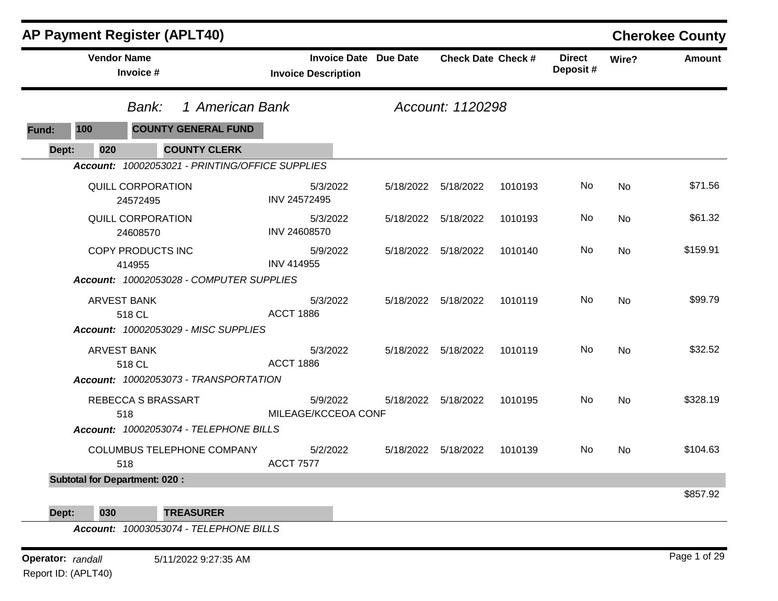|              | <b>AP Payment Register (APLT40)</b>             |                                                            |                           |         |                           |           | <b>Cherokee County</b> |
|--------------|-------------------------------------------------|------------------------------------------------------------|---------------------------|---------|---------------------------|-----------|------------------------|
|              | <b>Vendor Name</b><br>Invoice #                 | <b>Invoice Date Due Date</b><br><b>Invoice Description</b> | <b>Check Date Check #</b> |         | <b>Direct</b><br>Deposit# | Wire?     | <b>Amount</b>          |
|              | 1 American Bank<br>Bank:                        |                                                            | Account: 1120298          |         |                           |           |                        |
| 100<br>Fund: | <b>COUNTY GENERAL FUND</b>                      |                                                            |                           |         |                           |           |                        |
| 020<br>Dept: | <b>COUNTY CLERK</b>                             |                                                            |                           |         |                           |           |                        |
|              | Account: 10002053021 - PRINTING/OFFICE SUPPLIES |                                                            |                           |         |                           |           |                        |
|              | QUILL CORPORATION<br>24572495                   | 5/3/2022<br>INV 24572495                                   | 5/18/2022 5/18/2022       | 1010193 | No.                       | No        | \$71.56                |
|              | <b>QUILL CORPORATION</b><br>24608570            | 5/3/2022<br>INV 24608570                                   | 5/18/2022 5/18/2022       | 1010193 | No.                       | No        | \$61.32                |
|              | COPY PRODUCTS INC<br>414955                     | 5/9/2022<br><b>INV 414955</b>                              | 5/18/2022 5/18/2022       | 1010140 | No.                       | <b>No</b> | \$159.91               |
|              | Account: 10002053028 - COMPUTER SUPPLIES        |                                                            |                           |         |                           |           |                        |
|              | <b>ARVEST BANK</b><br>518 CL                    | 5/3/2022<br><b>ACCT 1886</b>                               | 5/18/2022 5/18/2022       | 1010119 | No                        | No        | \$99.79                |
|              | Account: 10002053029 - MISC SUPPLIES            |                                                            |                           |         |                           |           |                        |
|              | <b>ARVEST BANK</b><br>518 CL                    | 5/3/2022<br><b>ACCT 1886</b>                               | 5/18/2022 5/18/2022       | 1010119 | No.                       | <b>No</b> | \$32.52                |
|              | <b>Account: 10002053073 - TRANSPORTATION</b>    |                                                            |                           |         |                           |           |                        |
|              | REBECCA S BRASSART<br>518                       | 5/9/2022<br>MILEAGE/KCCEOA CONF                            | 5/18/2022   5/18/2022     | 1010195 | No.                       | No        | \$328.19               |
|              | Account: 10002053074 - TELEPHONE BILLS          |                                                            |                           |         |                           |           |                        |
|              | COLUMBUS TELEPHONE COMPANY<br>518               | 5/2/2022<br><b>ACCT 7577</b>                               | 5/18/2022 5/18/2022       | 1010139 | No                        | <b>No</b> | \$104.63               |
|              | <b>Subtotal for Department: 020:</b>            |                                                            |                           |         |                           |           |                        |
| Dept:<br>030 | <b>TREASURER</b>                                |                                                            |                           |         |                           |           | \$857.92               |

**Operator:** randall 5/11/2022 9:27:35 AM *Page 1 of 29 Page 1 of 29* Report ID: (APLT40)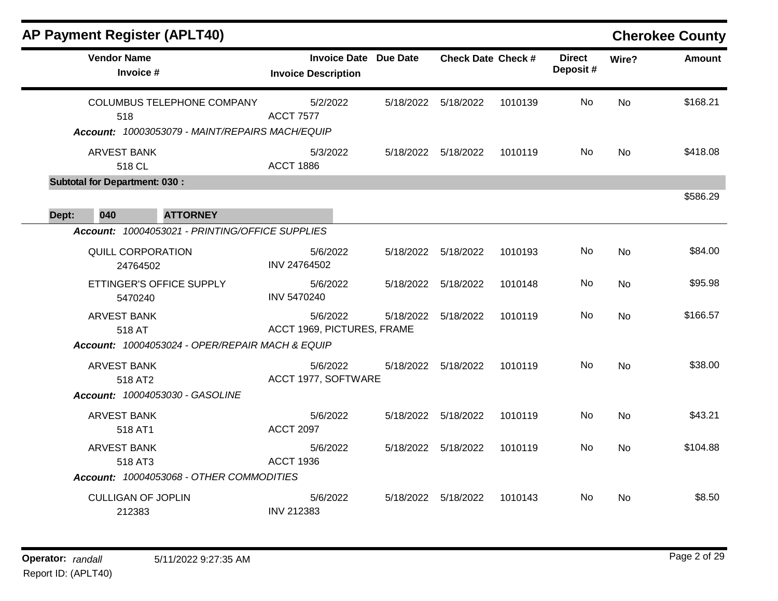| <b>AP Payment Register (APLT40)</b>                                                         |                                                            |                           |         |                           |           | <b>Cherokee County</b> |
|---------------------------------------------------------------------------------------------|------------------------------------------------------------|---------------------------|---------|---------------------------|-----------|------------------------|
| <b>Vendor Name</b><br>Invoice #                                                             | <b>Invoice Date Due Date</b><br><b>Invoice Description</b> | <b>Check Date Check #</b> |         | <b>Direct</b><br>Deposit# | Wire?     | <b>Amount</b>          |
| <b>COLUMBUS TELEPHONE COMPANY</b><br>518<br>Account: 10003053079 - MAINT/REPAIRS MACH/EQUIP | 5/2/2022<br><b>ACCT 7577</b>                               | 5/18/2022 5/18/2022       | 1010139 | No                        | <b>No</b> | \$168.21               |
| <b>ARVEST BANK</b><br>518 CL                                                                | 5/3/2022<br><b>ACCT 1886</b>                               | 5/18/2022 5/18/2022       | 1010119 | No.                       | No        | \$418.08               |
| <b>Subtotal for Department: 030:</b>                                                        |                                                            |                           |         |                           |           |                        |
| <b>ATTORNEY</b><br>Dept:<br>040                                                             |                                                            |                           |         |                           |           | \$586.29               |
| Account: 10004053021 - PRINTING/OFFICE SUPPLIES                                             |                                                            |                           |         |                           |           |                        |
| QUILL CORPORATION<br>24764502                                                               | 5/6/2022<br>INV 24764502                                   | 5/18/2022 5/18/2022       | 1010193 | No                        | <b>No</b> | \$84.00                |
| ETTINGER'S OFFICE SUPPLY<br>5470240                                                         | 5/6/2022<br><b>INV 5470240</b>                             | 5/18/2022 5/18/2022       | 1010148 | No.                       | No        | \$95.98                |
| <b>ARVEST BANK</b><br>518 AT                                                                | 5/6/2022<br>ACCT 1969, PICTURES, FRAME                     | 5/18/2022 5/18/2022       | 1010119 | No.                       | <b>No</b> | \$166.57               |
| <b>Account: 10004053024 - OPER/REPAIR MACH &amp; EQUIP</b>                                  |                                                            |                           |         |                           |           |                        |
| <b>ARVEST BANK</b><br>518 AT2<br>Account: 10004053030 - GASOLINE                            | 5/6/2022<br>ACCT 1977, SOFTWARE                            | 5/18/2022 5/18/2022       | 1010119 | No.                       | <b>No</b> | \$38.00                |
| <b>ARVEST BANK</b><br>518 AT1                                                               | 5/6/2022<br><b>ACCT 2097</b>                               | 5/18/2022 5/18/2022       | 1010119 | No                        | No        | \$43.21                |
| <b>ARVEST BANK</b><br>518 AT3                                                               | 5/6/2022<br><b>ACCT 1936</b>                               | 5/18/2022 5/18/2022       | 1010119 | No.                       | <b>No</b> | \$104.88               |
| Account: 10004053068 - OTHER COMMODITIES                                                    |                                                            |                           |         |                           |           |                        |
| <b>CULLIGAN OF JOPLIN</b><br>212383                                                         | 5/6/2022<br><b>INV 212383</b>                              | 5/18/2022 5/18/2022       | 1010143 | No                        | No.       | \$8.50                 |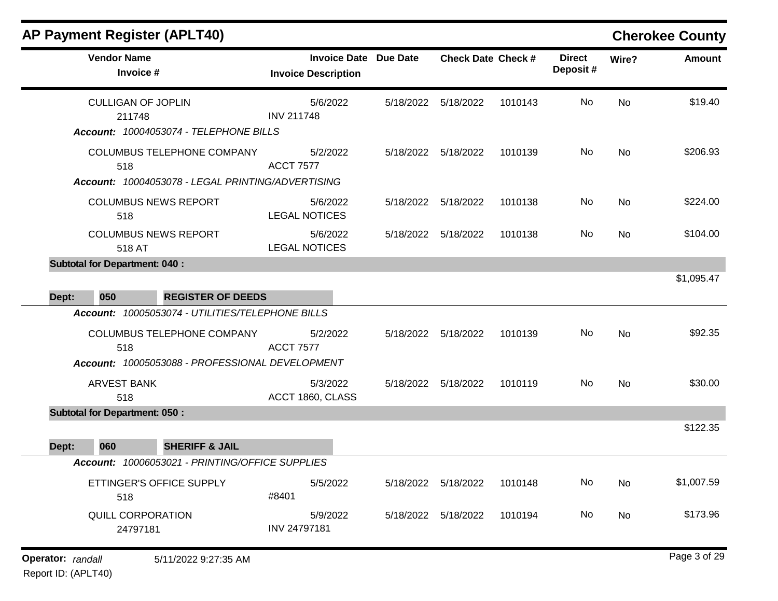| <b>Vendor Name</b><br>Invoice #                                                                                                          | <b>Invoice Date Due Date</b><br><b>Invoice Description</b> |                       | <b>Check Date Check #</b> |         | <b>Direct</b><br>Deposit# | Wire?     | <b>Amount</b> |
|------------------------------------------------------------------------------------------------------------------------------------------|------------------------------------------------------------|-----------------------|---------------------------|---------|---------------------------|-----------|---------------|
| <b>CULLIGAN OF JOPLIN</b><br>211748<br>Account: 10004053074 - TELEPHONE BILLS                                                            | 5/6/2022<br><b>INV 211748</b>                              |                       | 5/18/2022 5/18/2022       | 1010143 | No.                       | <b>No</b> | \$19.40       |
| COLUMBUS TELEPHONE COMPANY<br>518<br>Account: 10004053078 - LEGAL PRINTING/ADVERTISING                                                   | 5/2/2022<br><b>ACCT 7577</b>                               |                       | 5/18/2022 5/18/2022       | 1010139 | No.                       | <b>No</b> | \$206.93      |
| <b>COLUMBUS NEWS REPORT</b><br>518                                                                                                       | 5/6/2022<br><b>LEGAL NOTICES</b>                           |                       | 5/18/2022 5/18/2022       | 1010138 | No                        | <b>No</b> | \$224.00      |
| <b>COLUMBUS NEWS REPORT</b><br>518 AT                                                                                                    | 5/6/2022<br><b>LEGAL NOTICES</b>                           | 5/18/2022 5/18/2022   |                           | 1010138 | No.                       | No        | \$104.00      |
| <b>Subtotal for Department: 040:</b><br>050<br><b>REGISTER OF DEEDS</b><br>Dept:                                                         |                                                            |                       |                           |         |                           |           | \$1,095.47    |
| Account: 10005053074 - UTILITIES/TELEPHONE BILLS<br>COLUMBUS TELEPHONE COMPANY<br>518<br>Account: 10005053088 - PROFESSIONAL DEVELOPMENT | 5/2/2022<br><b>ACCT 7577</b>                               | 5/18/2022 5/18/2022   |                           | 1010139 | No                        | <b>No</b> | \$92.35       |
| <b>ARVEST BANK</b><br>518                                                                                                                | 5/3/2022<br>ACCT 1860, CLASS                               | 5/18/2022 5/18/2022   |                           | 1010119 | No                        | <b>No</b> | \$30.00       |
| <b>Subtotal for Department: 050:</b><br>060<br><b>SHERIFF &amp; JAIL</b><br>Dept:                                                        |                                                            |                       |                           |         |                           |           | \$122.35      |
| Account: 10006053021 - PRINTING/OFFICE SUPPLIES                                                                                          |                                                            |                       |                           |         |                           |           |               |
| ETTINGER'S OFFICE SUPPLY<br>518                                                                                                          | 5/5/2022<br>#8401                                          | 5/18/2022             | 5/18/2022                 | 1010148 | No                        | <b>No</b> | \$1,007.59    |
| <b>QUILL CORPORATION</b><br>24797181                                                                                                     | 5/9/2022<br>INV 24797181                                   | 5/18/2022   5/18/2022 |                           | 1010194 | No                        | No        | \$173.96      |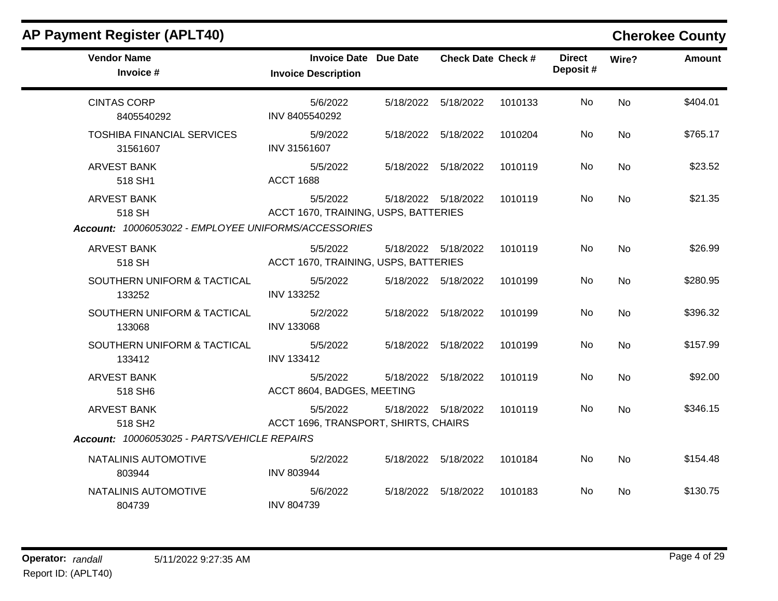| x, , , x                                             |                                                            |                           |         |                           |           | UNUNUU UUUNIY |
|------------------------------------------------------|------------------------------------------------------------|---------------------------|---------|---------------------------|-----------|---------------|
| <b>Vendor Name</b><br>Invoice #                      | <b>Invoice Date Due Date</b><br><b>Invoice Description</b> | <b>Check Date Check #</b> |         | <b>Direct</b><br>Deposit# | Wire?     | Amount        |
| <b>CINTAS CORP</b><br>8405540292                     | 5/6/2022<br>INV 8405540292                                 | 5/18/2022 5/18/2022       | 1010133 | No                        | <b>No</b> | \$404.01      |
| <b>TOSHIBA FINANCIAL SERVICES</b><br>31561607        | 5/9/2022<br>INV 31561607                                   | 5/18/2022 5/18/2022       | 1010204 | No                        | No        | \$765.17      |
| <b>ARVEST BANK</b><br>518 SH1                        | 5/5/2022<br><b>ACCT 1688</b>                               | 5/18/2022 5/18/2022       | 1010119 | No                        | <b>No</b> | \$23.52       |
| <b>ARVEST BANK</b><br>518 SH                         | 5/5/2022<br>ACCT 1670, TRAINING, USPS, BATTERIES           | 5/18/2022 5/18/2022       | 1010119 | No                        | <b>No</b> | \$21.35       |
| Account: 10006053022 - EMPLOYEE UNIFORMS/ACCESSORIES |                                                            |                           |         |                           |           |               |
| <b>ARVEST BANK</b><br>518 SH                         | 5/5/2022<br>ACCT 1670, TRAINING, USPS, BATTERIES           | 5/18/2022 5/18/2022       | 1010119 | No                        | <b>No</b> | \$26.99       |
| SOUTHERN UNIFORM & TACTICAL<br>133252                | 5/5/2022<br><b>INV 133252</b>                              | 5/18/2022 5/18/2022       | 1010199 | No.                       | No        | \$280.95      |
| SOUTHERN UNIFORM & TACTICAL<br>133068                | 5/2/2022<br><b>INV 133068</b>                              | 5/18/2022 5/18/2022       | 1010199 | No                        | <b>No</b> | \$396.32      |
| SOUTHERN UNIFORM & TACTICAL<br>133412                | 5/5/2022<br><b>INV 133412</b>                              | 5/18/2022 5/18/2022       | 1010199 | No                        | <b>No</b> | \$157.99      |
| <b>ARVEST BANK</b><br>518 SH6                        | 5/5/2022<br>ACCT 8604, BADGES, MEETING                     | 5/18/2022 5/18/2022       | 1010119 | No                        | <b>No</b> | \$92.00       |
| <b>ARVEST BANK</b><br>518 SH <sub>2</sub>            | 5/5/2022<br>ACCT 1696, TRANSPORT, SHIRTS, CHAIRS           | 5/18/2022 5/18/2022       | 1010119 | No                        | <b>No</b> | \$346.15      |
| Account: 10006053025 - PARTS/VEHICLE REPAIRS         |                                                            |                           |         |                           |           |               |
| NATALINIS AUTOMOTIVE<br>803944                       | 5/2/2022<br><b>INV 803944</b>                              | 5/18/2022 5/18/2022       | 1010184 | No                        | <b>No</b> | \$154.48      |
| NATALINIS AUTOMOTIVE<br>804739                       | 5/6/2022<br><b>INV 804739</b>                              | 5/18/2022 5/18/2022       | 1010183 | No                        | <b>No</b> | \$130.75      |

### **AP Payment Register (APLT40) Cherokee County**  $\mathbf{r}$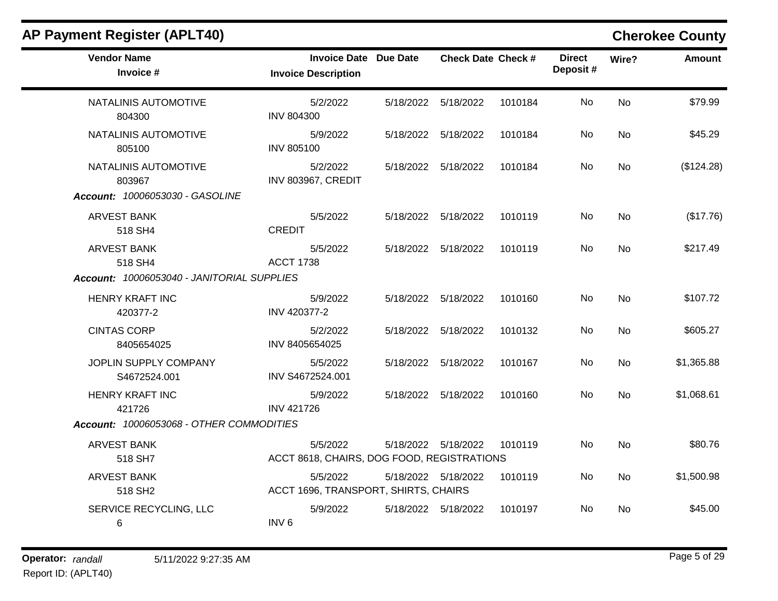| <b>Vendor Name</b><br>Invoice #                                             | <b>Invoice Date Due Date</b><br><b>Invoice Description</b> | <b>Check Date Check #</b> |         | <b>Direct</b><br>Deposit# | Wire?     | <b>Amount</b> |
|-----------------------------------------------------------------------------|------------------------------------------------------------|---------------------------|---------|---------------------------|-----------|---------------|
| NATALINIS AUTOMOTIVE<br>804300                                              | 5/2/2022<br><b>INV 804300</b>                              | 5/18/2022 5/18/2022       | 1010184 | <b>No</b>                 | <b>No</b> | \$79.99       |
| NATALINIS AUTOMOTIVE<br>805100                                              | 5/9/2022<br><b>INV 805100</b>                              | 5/18/2022 5/18/2022       | 1010184 | No.                       | No        | \$45.29       |
| NATALINIS AUTOMOTIVE<br>803967<br>Account: 10006053030 - GASOLINE           | 5/2/2022<br>INV 803967, CREDIT                             | 5/18/2022 5/18/2022       | 1010184 | No                        | <b>No</b> | (\$124.28)    |
| <b>ARVEST BANK</b><br>518 SH4                                               | 5/5/2022<br><b>CREDIT</b>                                  | 5/18/2022 5/18/2022       | 1010119 | No                        | <b>No</b> | (\$17.76)     |
| <b>ARVEST BANK</b><br>518 SH4<br>Account: 10006053040 - JANITORIAL SUPPLIES | 5/5/2022<br><b>ACCT 1738</b>                               | 5/18/2022 5/18/2022       | 1010119 | No                        | <b>No</b> | \$217.49      |
|                                                                             |                                                            |                           |         |                           |           |               |
| <b>HENRY KRAFT INC</b><br>420377-2                                          | 5/9/2022<br>INV 420377-2                                   | 5/18/2022 5/18/2022       | 1010160 | No                        | <b>No</b> | \$107.72      |
| <b>CINTAS CORP</b><br>8405654025                                            | 5/2/2022<br>INV 8405654025                                 | 5/18/2022 5/18/2022       | 1010132 | No.                       | <b>No</b> | \$605.27      |
| JOPLIN SUPPLY COMPANY<br>S4672524.001                                       | 5/5/2022<br>INV S4672524.001                               | 5/18/2022 5/18/2022       | 1010167 | No.                       | <b>No</b> | \$1,365.88    |
| <b>HENRY KRAFT INC</b><br>421726                                            | 5/9/2022<br><b>INV 421726</b>                              | 5/18/2022 5/18/2022       | 1010160 | No.                       | <b>No</b> | \$1,068.61    |
| Account: 10006053068 - OTHER COMMODITIES                                    |                                                            |                           |         |                           |           |               |
| <b>ARVEST BANK</b><br>518 SH7                                               | 5/5/2022<br>ACCT 8618, CHAIRS, DOG FOOD, REGISTRATIONS     | 5/18/2022 5/18/2022       | 1010119 | No.                       | <b>No</b> | \$80.76       |
| <b>ARVEST BANK</b><br>518 SH <sub>2</sub>                                   | 5/5/2022<br>ACCT 1696, TRANSPORT, SHIRTS, CHAIRS           | 5/18/2022 5/18/2022       | 1010119 | No.                       | No        | \$1,500.98    |
| SERVICE RECYCLING, LLC<br>6                                                 | 5/9/2022<br>INV <sub>6</sub>                               | 5/18/2022 5/18/2022       | 1010197 | No.                       | <b>No</b> | \$45.00       |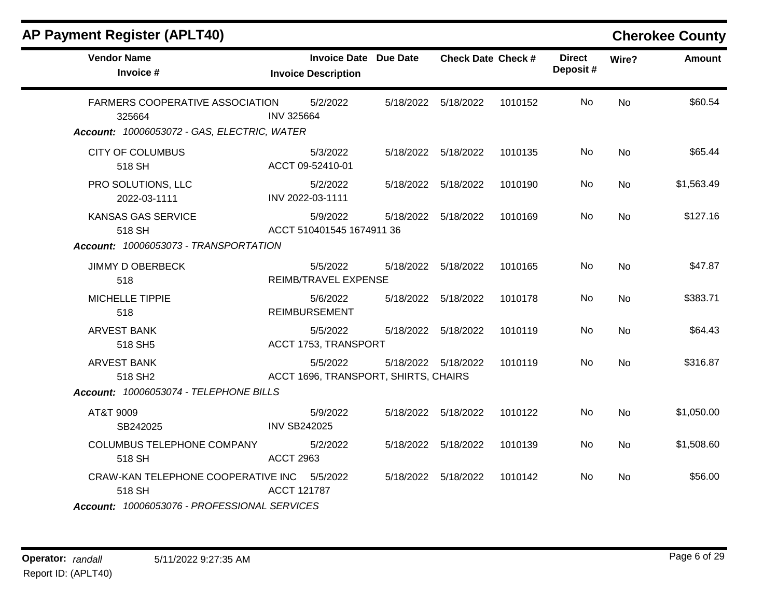| <b>Vendor Name</b><br>Invoice #                                                          | <b>Invoice Date Due Date</b><br><b>Invoice Description</b> | <b>Check Date Check #</b> |         | <b>Direct</b><br>Deposit# | Wire?     | <b>Amount</b> |
|------------------------------------------------------------------------------------------|------------------------------------------------------------|---------------------------|---------|---------------------------|-----------|---------------|
| FARMERS COOPERATIVE ASSOCIATION<br>325664<br>Account: 10006053072 - GAS, ELECTRIC, WATER | 5/2/2022<br><b>INV 325664</b>                              | 5/18/2022 5/18/2022       | 1010152 | No.                       | <b>No</b> | \$60.54       |
| <b>CITY OF COLUMBUS</b><br>518 SH                                                        | 5/3/2022<br>ACCT 09-52410-01                               | 5/18/2022 5/18/2022       | 1010135 | No.                       | No        | \$65.44       |
| PRO SOLUTIONS, LLC<br>2022-03-1111                                                       | 5/2/2022<br>INV 2022-03-1111                               | 5/18/2022 5/18/2022       | 1010190 | No                        | <b>No</b> | \$1,563.49    |
| KANSAS GAS SERVICE<br>518 SH                                                             | 5/9/2022<br>ACCT 510401545 1674911 36                      | 5/18/2022 5/18/2022       | 1010169 | No.                       | <b>No</b> | \$127.16      |
| Account: 10006053073 - TRANSPORTATION                                                    |                                                            |                           |         |                           |           |               |
| <b>JIMMY D OBERBECK</b><br>518                                                           | 5/5/2022<br>REIMB/TRAVEL EXPENSE                           | 5/18/2022 5/18/2022       | 1010165 | No                        | <b>No</b> | \$47.87       |
| MICHELLE TIPPIE<br>518                                                                   | 5/6/2022<br><b>REIMBURSEMENT</b>                           | 5/18/2022 5/18/2022       | 1010178 | No                        | <b>No</b> | \$383.71      |
| ARVEST BANK<br>518 SH5                                                                   | 5/5/2022<br>ACCT 1753, TRANSPORT                           | 5/18/2022 5/18/2022       | 1010119 | No.                       | No        | \$64.43       |
| <b>ARVEST BANK</b><br>518 SH <sub>2</sub>                                                | 5/5/2022<br>ACCT 1696, TRANSPORT, SHIRTS, CHAIRS           | 5/18/2022 5/18/2022       | 1010119 | No                        | <b>No</b> | \$316.87      |
| Account: 10006053074 - TELEPHONE BILLS                                                   |                                                            |                           |         |                           |           |               |
| AT&T 9009<br>SB242025                                                                    | 5/9/2022<br><b>INV SB242025</b>                            | 5/18/2022 5/18/2022       | 1010122 | No.                       | <b>No</b> | \$1,050.00    |
| COLUMBUS TELEPHONE COMPANY<br>518 SH                                                     | 5/2/2022<br><b>ACCT 2963</b>                               | 5/18/2022 5/18/2022       | 1010139 | No.                       | No        | \$1,508.60    |
| CRAW-KAN TELEPHONE COOPERATIVE INC 5/5/2022<br>518 SH                                    | <b>ACCT 121787</b>                                         | 5/18/2022 5/18/2022       | 1010142 | No                        | No        | \$56.00       |
| Account: 10006053076 - PROFESSIONAL SERVICES                                             |                                                            |                           |         |                           |           |               |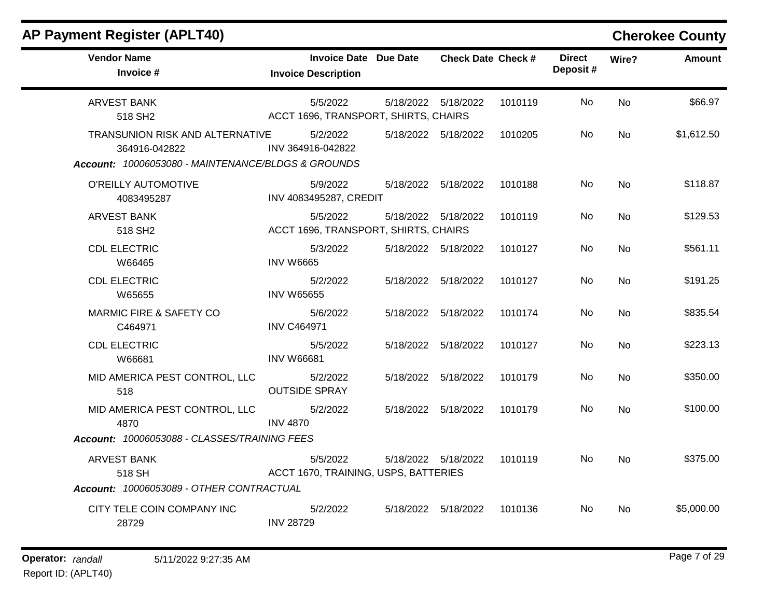| <b>AP Payment Register (APLT40)</b>                     |                                                            |                           |         |                           |           | <b>Cherokee County</b> |
|---------------------------------------------------------|------------------------------------------------------------|---------------------------|---------|---------------------------|-----------|------------------------|
| <b>Vendor Name</b><br>Invoice #                         | <b>Invoice Date Due Date</b><br><b>Invoice Description</b> | <b>Check Date Check #</b> |         | <b>Direct</b><br>Deposit# | Wire?     | <b>Amount</b>          |
| <b>ARVEST BANK</b><br>518 SH <sub>2</sub>               | 5/5/2022<br>ACCT 1696, TRANSPORT, SHIRTS, CHAIRS           | 5/18/2022 5/18/2022       | 1010119 | No                        | <b>No</b> | \$66.97                |
| <b>TRANSUNION RISK AND ALTERNATIVE</b><br>364916-042822 | 5/2/2022<br>INV 364916-042822                              | 5/18/2022 5/18/2022       | 1010205 | No.                       | No        | \$1,612.50             |
| Account: 10006053080 - MAINTENANCE/BLDGS & GROUNDS      |                                                            |                           |         |                           |           |                        |
| O'REILLY AUTOMOTIVE<br>4083495287                       | 5/9/2022<br>INV 4083495287, CREDIT                         | 5/18/2022 5/18/2022       | 1010188 | No.                       | <b>No</b> | \$118.87               |
| <b>ARVEST BANK</b><br>518 SH <sub>2</sub>               | 5/5/2022<br>ACCT 1696, TRANSPORT, SHIRTS, CHAIRS           | 5/18/2022 5/18/2022       | 1010119 | No.                       | No        | \$129.53               |
| <b>CDL ELECTRIC</b><br>W66465                           | 5/3/2022<br><b>INV W6665</b>                               | 5/18/2022 5/18/2022       | 1010127 | No.                       | <b>No</b> | \$561.11               |
| <b>CDL ELECTRIC</b><br>W65655                           | 5/2/2022<br><b>INV W65655</b>                              | 5/18/2022 5/18/2022       | 1010127 | No                        | No.       | \$191.25               |
| <b>MARMIC FIRE &amp; SAFETY CO</b><br>C464971           | 5/6/2022<br><b>INV C464971</b>                             | 5/18/2022 5/18/2022       | 1010174 | No.                       | <b>No</b> | \$835.54               |
| <b>CDL ELECTRIC</b><br>W66681                           | 5/5/2022<br><b>INV W66681</b>                              | 5/18/2022 5/18/2022       | 1010127 | No.                       | No        | \$223.13               |
| MID AMERICA PEST CONTROL, LLC<br>518                    | 5/2/2022<br><b>OUTSIDE SPRAY</b>                           | 5/18/2022 5/18/2022       | 1010179 | No.                       | No.       | \$350.00               |
| MID AMERICA PEST CONTROL, LLC<br>4870                   | 5/2/2022<br><b>INV 4870</b>                                | 5/18/2022 5/18/2022       | 1010179 | No.                       | <b>No</b> | \$100.00               |
| Account: 10006053088 - CLASSES/TRAINING FEES            |                                                            |                           |         |                           |           |                        |
| <b>ARVEST BANK</b><br>518 SH                            | 5/5/2022<br>ACCT 1670, TRAINING, USPS, BATTERIES           | 5/18/2022 5/18/2022       | 1010119 | No.                       | No.       | \$375.00               |
| Account: 10006053089 - OTHER CONTRACTUAL                |                                                            |                           |         |                           |           |                        |
| CITY TELE COIN COMPANY INC<br>28729                     | 5/2/2022<br><b>INV 28729</b>                               | 5/18/2022 5/18/2022       | 1010136 | No.                       | No.       | \$5,000.00             |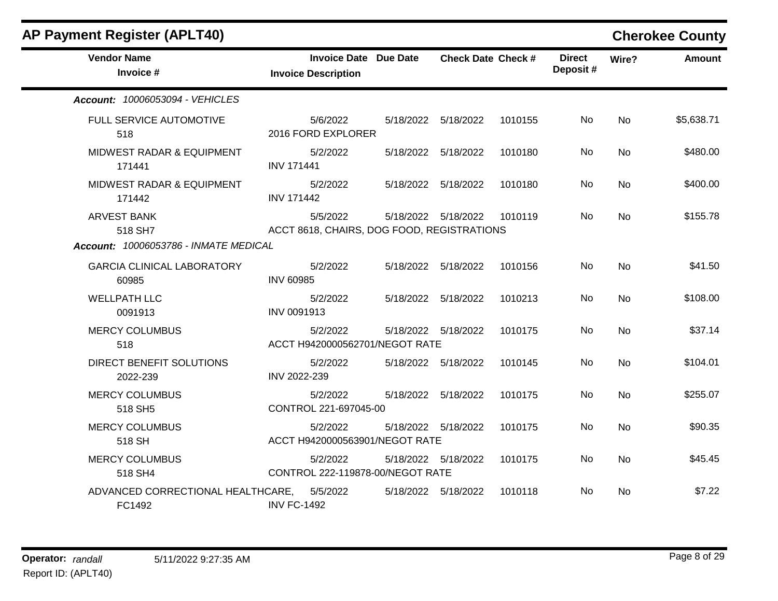| <b>AP Payment Register (APLT40)</b>                                    |                                                        |                           |         |                           |           | <b>Cherokee County</b> |
|------------------------------------------------------------------------|--------------------------------------------------------|---------------------------|---------|---------------------------|-----------|------------------------|
| <b>Vendor Name</b><br>Invoice #                                        | Invoice Date Due Date<br><b>Invoice Description</b>    | <b>Check Date Check #</b> |         | <b>Direct</b><br>Deposit# | Wire?     | <b>Amount</b>          |
| Account: 10006053094 - VEHICLES                                        |                                                        |                           |         |                           |           |                        |
| FULL SERVICE AUTOMOTIVE<br>518                                         | 5/6/2022<br>2016 FORD EXPLORER                         | 5/18/2022   5/18/2022     | 1010155 | No.                       | No        | \$5,638.71             |
| MIDWEST RADAR & EQUIPMENT<br>171441                                    | 5/2/2022<br><b>INV 171441</b>                          | 5/18/2022 5/18/2022       | 1010180 | No.                       | No        | \$480.00               |
| MIDWEST RADAR & EQUIPMENT<br>171442                                    | 5/2/2022<br><b>INV 171442</b>                          | 5/18/2022 5/18/2022       | 1010180 | No                        | No        | \$400.00               |
| <b>ARVEST BANK</b><br>518 SH7<br>Account: 10006053786 - INMATE MEDICAL | 5/5/2022<br>ACCT 8618, CHAIRS, DOG FOOD, REGISTRATIONS | 5/18/2022 5/18/2022       | 1010119 | No                        | <b>No</b> | \$155.78               |
| <b>GARCIA CLINICAL LABORATORY</b><br>60985                             | 5/2/2022<br><b>INV 60985</b>                           | 5/18/2022 5/18/2022       | 1010156 | No                        | <b>No</b> | \$41.50                |
| <b>WELLPATH LLC</b><br>0091913                                         | 5/2/2022<br>INV 0091913                                | 5/18/2022 5/18/2022       | 1010213 | No.                       | No        | \$108.00               |
| <b>MERCY COLUMBUS</b><br>518                                           | 5/2/2022<br>ACCT H9420000562701/NEGOT RATE             | 5/18/2022 5/18/2022       | 1010175 | No.                       | <b>No</b> | \$37.14                |
| DIRECT BENEFIT SOLUTIONS<br>2022-239                                   | 5/2/2022<br>INV 2022-239                               | 5/18/2022 5/18/2022       | 1010145 | No.                       | No        | \$104.01               |
| <b>MERCY COLUMBUS</b><br>518 SH5                                       | 5/2/2022<br>CONTROL 221-697045-00                      | 5/18/2022 5/18/2022       | 1010175 | No                        | <b>No</b> | \$255.07               |
| <b>MERCY COLUMBUS</b><br>518 SH                                        | 5/2/2022<br>ACCT H9420000563901/NEGOT RATE             | 5/18/2022   5/18/2022     | 1010175 | No.                       | No        | \$90.35                |
| <b>MERCY COLUMBUS</b><br>518 SH4                                       | 5/2/2022<br>CONTROL 222-119878-00/NEGOT RATE           | 5/18/2022 5/18/2022       | 1010175 | No                        | No        | \$45.45                |
| ADVANCED CORRECTIONAL HEALTHCARE,<br>FC1492                            | 5/5/2022<br><b>INV FC-1492</b>                         | 5/18/2022 5/18/2022       | 1010118 | No.                       | No        | \$7.22                 |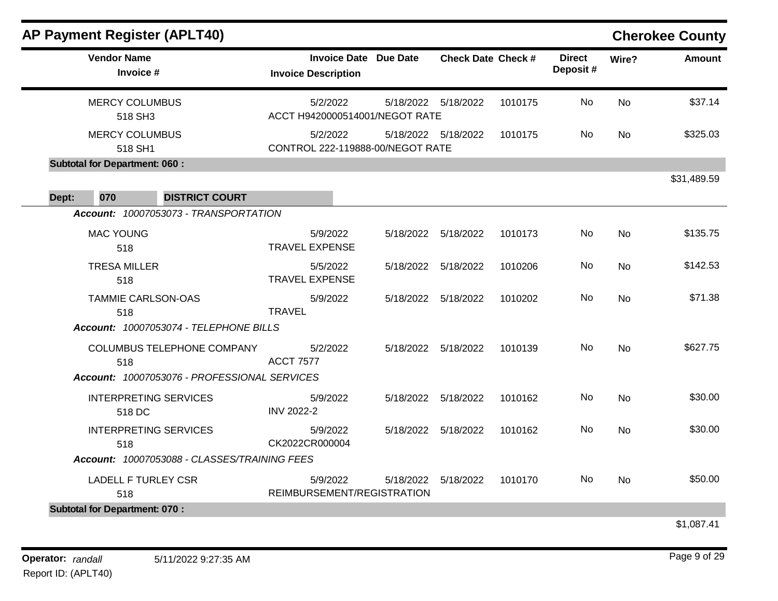| <b>AP Payment Register (APLT40)</b>                                               |                                                            |           |                           |         |                           |           | <b>Cherokee County</b> |
|-----------------------------------------------------------------------------------|------------------------------------------------------------|-----------|---------------------------|---------|---------------------------|-----------|------------------------|
| <b>Vendor Name</b><br>Invoice #                                                   | <b>Invoice Date Due Date</b><br><b>Invoice Description</b> |           | <b>Check Date Check #</b> |         | <b>Direct</b><br>Deposit# | Wire?     | <b>Amount</b>          |
| <b>MERCY COLUMBUS</b><br>518 SH3                                                  | 5/2/2022<br>ACCT H9420000514001/NEGOT RATE                 |           | 5/18/2022   5/18/2022     | 1010175 | No                        | <b>No</b> | \$37.14                |
| <b>MERCY COLUMBUS</b><br>518 SH1                                                  | 5/2/2022<br>CONTROL 222-119888-00/NEGOT RATE               |           | 5/18/2022 5/18/2022       | 1010175 | No.                       | No        | \$325.03               |
| <b>Subtotal for Department: 060:</b>                                              |                                                            |           |                           |         |                           |           |                        |
| 070<br>Dept:<br><b>DISTRICT COURT</b>                                             |                                                            |           |                           |         |                           |           | \$31,489.59            |
| Account: 10007053073 - TRANSPORTATION                                             |                                                            |           |                           |         |                           |           |                        |
| <b>MAC YOUNG</b><br>518                                                           | 5/9/2022<br><b>TRAVEL EXPENSE</b>                          |           | 5/18/2022 5/18/2022       | 1010173 | No                        | <b>No</b> | \$135.75               |
| <b>TRESA MILLER</b><br>518                                                        | 5/5/2022<br><b>TRAVEL EXPENSE</b>                          |           | 5/18/2022 5/18/2022       | 1010206 | No.                       | No        | \$142.53               |
| <b>TAMMIE CARLSON-OAS</b><br>518                                                  | 5/9/2022<br><b>TRAVEL</b>                                  | 5/18/2022 | 5/18/2022                 | 1010202 | No                        | No        | \$71.38                |
| Account: 10007053074 - TELEPHONE BILLS                                            |                                                            |           |                           |         |                           |           |                        |
| COLUMBUS TELEPHONE COMPANY<br>518<br>Account: 10007053076 - PROFESSIONAL SERVICES | 5/2/2022<br><b>ACCT 7577</b>                               |           | 5/18/2022 5/18/2022       | 1010139 | No                        | <b>No</b> | \$627.75               |
|                                                                                   |                                                            |           |                           |         |                           |           |                        |
| <b>INTERPRETING SERVICES</b><br>518 DC                                            | 5/9/2022<br><b>INV 2022-2</b>                              | 5/18/2022 | 5/18/2022                 | 1010162 | No                        | <b>No</b> | \$30.00                |
| <b>INTERPRETING SERVICES</b><br>518                                               | 5/9/2022<br>CK2022CR000004                                 |           | 5/18/2022 5/18/2022       | 1010162 | No                        | <b>No</b> | \$30.00                |
| Account: 10007053088 - CLASSES/TRAINING FEES                                      |                                                            |           |                           |         |                           |           |                        |
| <b>LADELL F TURLEY CSR</b><br>518                                                 | 5/9/2022<br>REIMBURSEMENT/REGISTRATION                     | 5/18/2022 | 5/18/2022                 | 1010170 | No.                       | No        | \$50.00                |
| <b>Subtotal for Department: 070:</b>                                              |                                                            |           |                           |         |                           |           |                        |
|                                                                                   |                                                            |           |                           |         |                           |           | \$1,087.41             |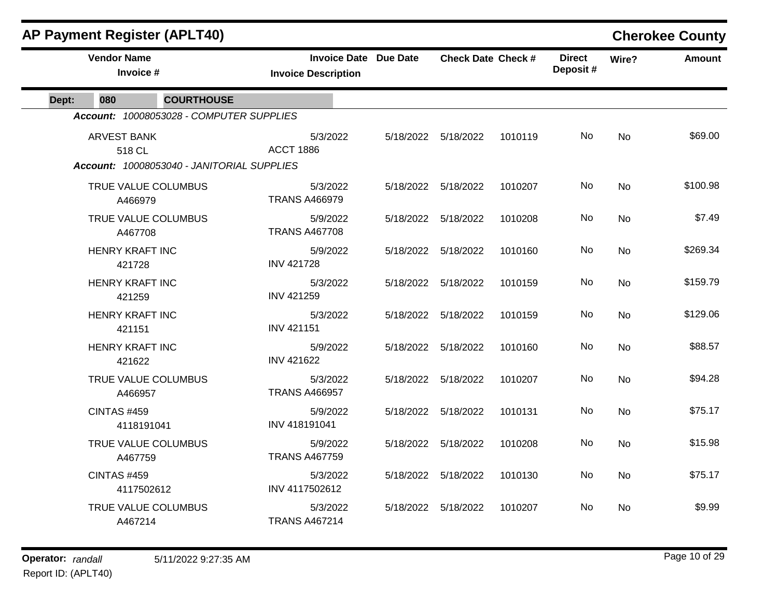|       | <b>AP Payment Register (APLT40)</b> |                                            |                                                            |                           |         |                           |           | <b>Cherokee County</b> |
|-------|-------------------------------------|--------------------------------------------|------------------------------------------------------------|---------------------------|---------|---------------------------|-----------|------------------------|
|       | <b>Vendor Name</b><br>Invoice #     |                                            | <b>Invoice Date Due Date</b><br><b>Invoice Description</b> | <b>Check Date Check #</b> |         | <b>Direct</b><br>Deposit# | Wire?     | <b>Amount</b>          |
| Dept: | 080                                 | <b>COURTHOUSE</b>                          |                                                            |                           |         |                           |           |                        |
|       |                                     | Account: 10008053028 - COMPUTER SUPPLIES   |                                                            |                           |         |                           |           |                        |
|       | <b>ARVEST BANK</b><br>518 CL        |                                            | 5/3/2022<br><b>ACCT 1886</b>                               | 5/18/2022 5/18/2022       | 1010119 | No                        | No        | \$69.00                |
|       |                                     | Account: 10008053040 - JANITORIAL SUPPLIES |                                                            |                           |         |                           |           |                        |
|       | TRUE VALUE COLUMBUS<br>A466979      |                                            | 5/3/2022<br><b>TRANS A466979</b>                           | 5/18/2022   5/18/2022     | 1010207 | No                        | <b>No</b> | \$100.98               |
|       | TRUE VALUE COLUMBUS<br>A467708      |                                            | 5/9/2022<br><b>TRANS A467708</b>                           | 5/18/2022 5/18/2022       | 1010208 | No                        | No        | \$7.49                 |
|       | <b>HENRY KRAFT INC</b><br>421728    |                                            | 5/9/2022<br><b>INV 421728</b>                              | 5/18/2022 5/18/2022       | 1010160 | No                        | <b>No</b> | \$269.34               |
|       | <b>HENRY KRAFT INC</b><br>421259    |                                            | 5/3/2022<br><b>INV 421259</b>                              | 5/18/2022   5/18/2022     | 1010159 | No                        | No        | \$159.79               |
|       | <b>HENRY KRAFT INC</b><br>421151    |                                            | 5/3/2022<br><b>INV 421151</b>                              | 5/18/2022 5/18/2022       | 1010159 | No.                       | <b>No</b> | \$129.06               |
|       | <b>HENRY KRAFT INC</b><br>421622    |                                            | 5/9/2022<br><b>INV 421622</b>                              | 5/18/2022 5/18/2022       | 1010160 | No                        | No        | \$88.57                |
|       | TRUE VALUE COLUMBUS<br>A466957      |                                            | 5/3/2022<br><b>TRANS A466957</b>                           | 5/18/2022 5/18/2022       | 1010207 | No                        | No        | \$94.28                |
|       | <b>CINTAS #459</b><br>4118191041    |                                            | 5/9/2022<br>INV 418191041                                  | 5/18/2022 5/18/2022       | 1010131 | No                        | No        | \$75.17                |
|       | TRUE VALUE COLUMBUS<br>A467759      |                                            | 5/9/2022<br><b>TRANS A467759</b>                           | 5/18/2022 5/18/2022       | 1010208 | No                        | <b>No</b> | \$15.98                |
|       | <b>CINTAS #459</b><br>4117502612    |                                            | 5/3/2022<br>INV 4117502612                                 | 5/18/2022 5/18/2022       | 1010130 | No                        | <b>No</b> | \$75.17                |
|       | TRUE VALUE COLUMBUS<br>A467214      |                                            | 5/3/2022<br><b>TRANS A467214</b>                           | 5/18/2022 5/18/2022       | 1010207 | No                        | No        | \$9.99                 |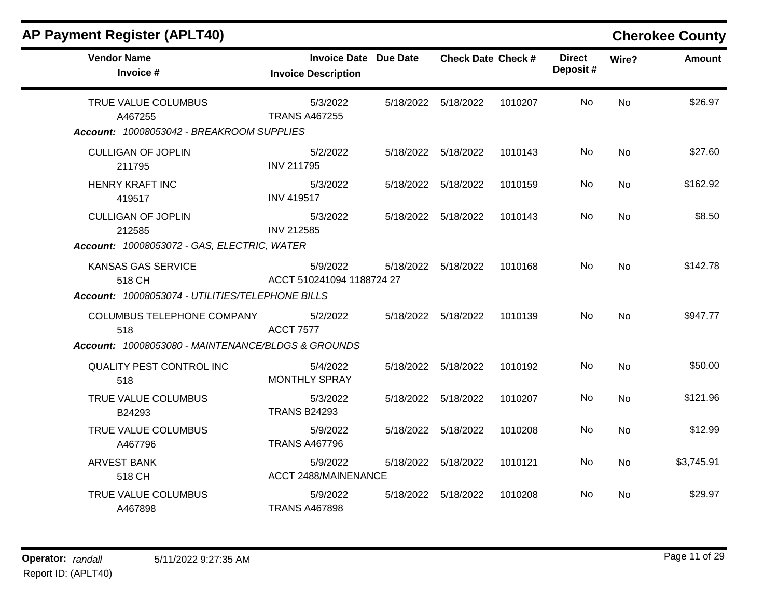| <b>AP Payment Register (APLT40)</b>                                                            |                                                            |                           |         |                           |           | <b>Cherokee County</b> |
|------------------------------------------------------------------------------------------------|------------------------------------------------------------|---------------------------|---------|---------------------------|-----------|------------------------|
| <b>Vendor Name</b><br>Invoice #                                                                | <b>Invoice Date Due Date</b><br><b>Invoice Description</b> | <b>Check Date Check #</b> |         | <b>Direct</b><br>Deposit# | Wire?     | <b>Amount</b>          |
| TRUE VALUE COLUMBUS<br>A467255<br>Account: 10008053042 - BREAKROOM SUPPLIES                    | 5/3/2022<br><b>TRANS A467255</b>                           | 5/18/2022 5/18/2022       | 1010207 | No                        | No        | \$26.97                |
| <b>CULLIGAN OF JOPLIN</b><br>211795                                                            | 5/2/2022<br><b>INV 211795</b>                              | 5/18/2022 5/18/2022       | 1010143 | No                        | <b>No</b> | \$27.60                |
| <b>HENRY KRAFT INC</b><br>419517                                                               | 5/3/2022<br><b>INV 419517</b>                              | 5/18/2022 5/18/2022       | 1010159 | No                        | No        | \$162.92               |
| <b>CULLIGAN OF JOPLIN</b><br>212585<br>Account: 10008053072 - GAS, ELECTRIC, WATER             | 5/3/2022<br><b>INV 212585</b>                              | 5/18/2022 5/18/2022       | 1010143 | No                        | <b>No</b> | \$8.50                 |
| KANSAS GAS SERVICE<br>518 CH<br>Account: 10008053074 - UTILITIES/TELEPHONE BILLS               | 5/9/2022<br>ACCT 510241094 1188724 27                      | 5/18/2022 5/18/2022       | 1010168 | No                        | <b>No</b> | \$142.78               |
| <b>COLUMBUS TELEPHONE COMPANY</b><br>518<br>Account: 10008053080 - MAINTENANCE/BLDGS & GROUNDS | 5/2/2022<br><b>ACCT 7577</b>                               | 5/18/2022 5/18/2022       | 1010139 | No                        | <b>No</b> | \$947.77               |
| QUALITY PEST CONTROL INC<br>518                                                                | 5/4/2022<br><b>MONTHLY SPRAY</b>                           | 5/18/2022 5/18/2022       | 1010192 | No                        | <b>No</b> | \$50.00                |
| TRUE VALUE COLUMBUS<br>B24293                                                                  | 5/3/2022<br><b>TRANS B24293</b>                            | 5/18/2022 5/18/2022       | 1010207 | No                        | <b>No</b> | \$121.96               |
| TRUE VALUE COLUMBUS<br>A467796                                                                 | 5/9/2022<br><b>TRANS A467796</b>                           | 5/18/2022 5/18/2022       | 1010208 | No                        | No        | \$12.99                |
| <b>ARVEST BANK</b><br>518 CH                                                                   | 5/9/2022<br><b>ACCT 2488/MAINENANCE</b>                    | 5/18/2022 5/18/2022       | 1010121 | No                        | <b>No</b> | \$3,745.91             |
| TRUE VALUE COLUMBUS<br>A467898                                                                 | 5/9/2022<br><b>TRANS A467898</b>                           | 5/18/2022 5/18/2022       | 1010208 | No                        | No.       | \$29.97                |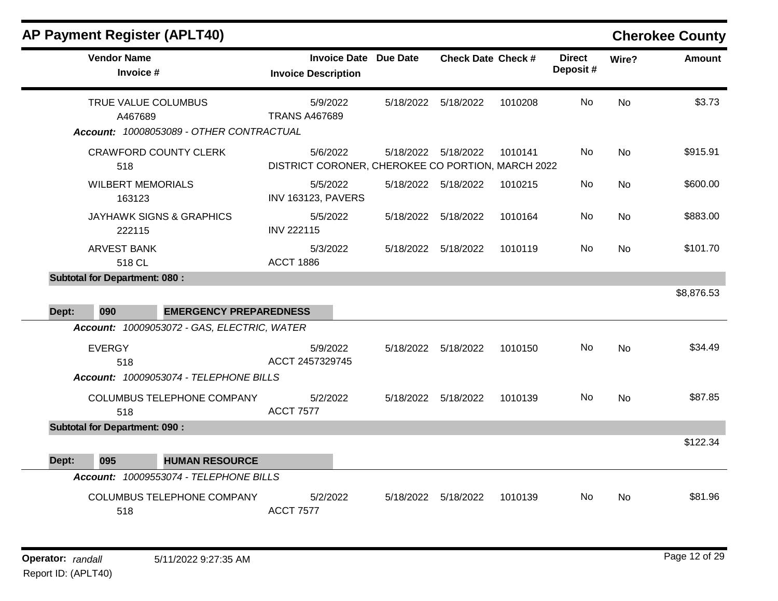| <b>AP Payment Register (APLT40)</b> |
|-------------------------------------|
|-------------------------------------|

## **Cherokee County**

| <b>Vendor Name</b><br>Invoice #                                               | <b>Invoice Date Due Date</b><br><b>Invoice Description</b>    |                     | <b>Check Date Check #</b> |         | <b>Direct</b><br>Deposit# | Wire?     | <b>Amount</b> |
|-------------------------------------------------------------------------------|---------------------------------------------------------------|---------------------|---------------------------|---------|---------------------------|-----------|---------------|
| TRUE VALUE COLUMBUS<br>A467689<br>Account: 10008053089 - OTHER CONTRACTUAL    | 5/9/2022<br><b>TRANS A467689</b>                              | 5/18/2022           | 5/18/2022                 | 1010208 | No                        | <b>No</b> | \$3.73        |
| CRAWFORD COUNTY CLERK<br>518                                                  | 5/6/2022<br>DISTRICT CORONER, CHEROKEE CO PORTION, MARCH 2022 | 5/18/2022 5/18/2022 |                           | 1010141 | No                        | <b>No</b> | \$915.91      |
| <b>WILBERT MEMORIALS</b><br>163123                                            | 5/5/2022<br><b>INV 163123, PAVERS</b>                         |                     | 5/18/2022   5/18/2022     | 1010215 | No                        | <b>No</b> | \$600.00      |
| <b>JAYHAWK SIGNS &amp; GRAPHICS</b><br>222115                                 | 5/5/2022<br><b>INV 222115</b>                                 | 5/18/2022 5/18/2022 |                           | 1010164 | No                        | No        | \$883.00      |
| <b>ARVEST BANK</b><br>518 CL                                                  | 5/3/2022<br><b>ACCT 1886</b>                                  | 5/18/2022 5/18/2022 |                           | 1010119 | No                        | No        | \$101.70      |
| <b>Subtotal for Department: 080:</b>                                          |                                                               |                     |                           |         |                           |           |               |
| 090<br><b>EMERGENCY PREPAREDNESS</b><br>Dept:                                 |                                                               |                     |                           |         |                           |           | \$8,876.53    |
| Account: 10009053072 - GAS, ELECTRIC, WATER                                   |                                                               |                     |                           |         |                           |           |               |
| <b>EVERGY</b><br>518                                                          | 5/9/2022<br>ACCT 2457329745                                   |                     | 5/18/2022 5/18/2022       | 1010150 | No                        | No        | \$34.49       |
| Account: 10009053074 - TELEPHONE BILLS<br>COLUMBUS TELEPHONE COMPANY<br>518   | 5/2/2022<br><b>ACCT 7577</b>                                  |                     | 5/18/2022 5/18/2022       | 1010139 | No.                       | <b>No</b> | \$87.85       |
| <b>Subtotal for Department: 090:</b><br>095<br><b>HUMAN RESOURCE</b><br>Dept: |                                                               |                     |                           |         |                           |           | \$122.34      |
| Account: 10009553074 - TELEPHONE BILLS                                        |                                                               |                     |                           |         |                           |           |               |
| COLUMBUS TELEPHONE COMPANY<br>518                                             | 5/2/2022<br><b>ACCT 7577</b>                                  | 5/18/2022           | 5/18/2022                 | 1010139 | No                        | <b>No</b> | \$81.96       |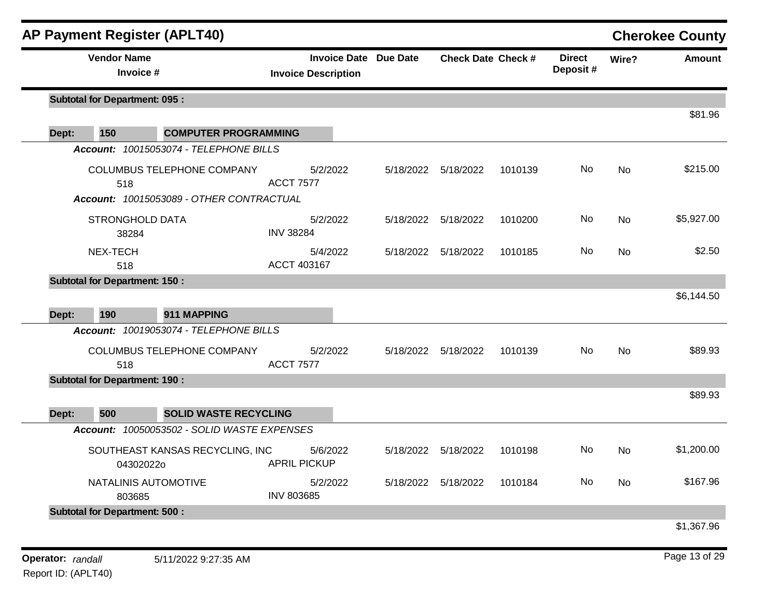|       | <b>AP Payment Register (APLT40)</b>                                           |                                 |                              |                     |                           |                           |           | <b>Cherokee County</b> |
|-------|-------------------------------------------------------------------------------|---------------------------------|------------------------------|---------------------|---------------------------|---------------------------|-----------|------------------------|
|       | <b>Vendor Name</b><br>Invoice #                                               | <b>Invoice Description</b>      | <b>Invoice Date Due Date</b> |                     | <b>Check Date Check #</b> | <b>Direct</b><br>Deposit# | Wire?     | Amount                 |
|       | <b>Subtotal for Department: 095:</b>                                          |                                 |                              |                     |                           |                           |           |                        |
| Dept: | 150<br><b>COMPUTER PROGRAMMING</b>                                            |                                 |                              |                     |                           |                           |           | \$81.96                |
|       | Account: 10015053074 - TELEPHONE BILLS                                        |                                 |                              |                     |                           |                           |           |                        |
|       | COLUMBUS TELEPHONE COMPANY<br>518<br>Account: 10015053089 - OTHER CONTRACTUAL | 5/2/2022<br><b>ACCT 7577</b>    | 5/18/2022                    | 5/18/2022           | 1010139                   | No                        | No        | \$215.00               |
|       | <b>STRONGHOLD DATA</b><br>38284                                               | 5/2/2022<br><b>INV 38284</b>    | 5/18/2022                    | 5/18/2022           | 1010200                   | No                        | No        | \$5,927.00             |
|       | NEX-TECH<br>518                                                               | 5/4/2022<br>ACCT 403167         | 5/18/2022                    | 5/18/2022           | 1010185                   | No                        | No        | \$2.50                 |
|       | <b>Subtotal for Department: 150:</b>                                          |                                 |                              |                     |                           |                           |           |                        |
| Dept: | 190<br>911 MAPPING                                                            |                                 |                              |                     |                           |                           |           | \$6,144.50             |
|       | Account: 10019053074 - TELEPHONE BILLS                                        |                                 |                              |                     |                           |                           |           |                        |
|       | COLUMBUS TELEPHONE COMPANY<br>518                                             | 5/2/2022<br><b>ACCT 7577</b>    | 5/18/2022                    | 5/18/2022           | 1010139                   | No                        | No        | \$89.93                |
|       | <b>Subtotal for Department: 190:</b>                                          |                                 |                              |                     |                           |                           |           |                        |
| Dept: | 500<br><b>SOLID WASTE RECYCLING</b>                                           |                                 |                              |                     |                           |                           |           | \$89.93                |
|       | Account: 10050053502 - SOLID WASTE EXPENSES                                   |                                 |                              |                     |                           |                           |           |                        |
|       | SOUTHEAST KANSAS RECYCLING, INC<br>043020220                                  | 5/6/2022<br><b>APRIL PICKUP</b> | 5/18/2022                    | 5/18/2022           | 1010198                   | No                        | <b>No</b> | \$1,200.00             |
|       | NATALINIS AUTOMOTIVE<br>803685                                                | 5/2/2022<br><b>INV 803685</b>   |                              | 5/18/2022 5/18/2022 | 1010184                   | No                        | No        | \$167.96               |
|       | <b>Subtotal for Department: 500:</b>                                          |                                 |                              |                     |                           |                           |           |                        |
|       |                                                                               |                                 |                              |                     |                           |                           |           | \$1,367.96             |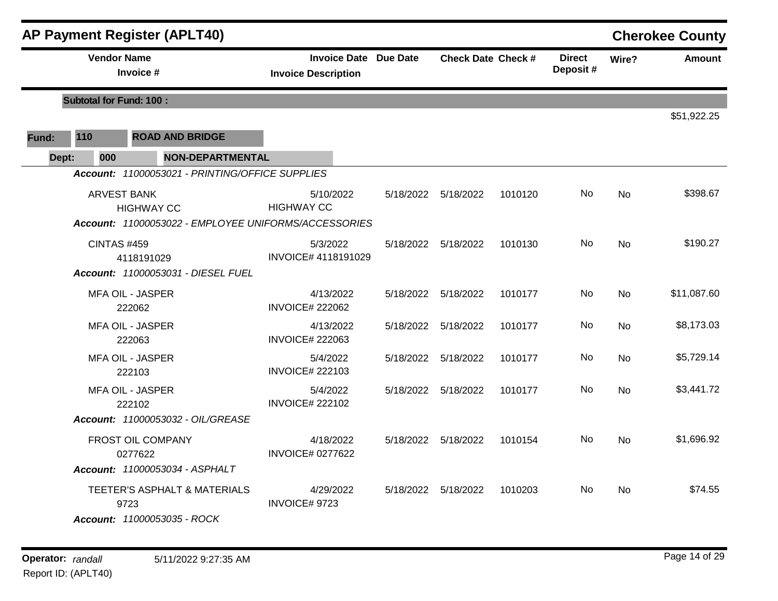|       |                                | <b>AP Payment Register (APLT40)</b>                                 |                                                            |                           |         |                            |           | <b>Cherokee County</b> |
|-------|--------------------------------|---------------------------------------------------------------------|------------------------------------------------------------|---------------------------|---------|----------------------------|-----------|------------------------|
|       | <b>Vendor Name</b>             | Invoice #                                                           | <b>Invoice Date Due Date</b><br><b>Invoice Description</b> | <b>Check Date Check #</b> |         | <b>Direct</b><br>Deposit # | Wire?     | <b>Amount</b>          |
|       | <b>Subtotal for Fund: 100:</b> |                                                                     |                                                            |                           |         |                            |           |                        |
|       |                                |                                                                     |                                                            |                           |         |                            |           | \$51,922.25            |
| Fund: | 110                            | <b>ROAD AND BRIDGE</b>                                              |                                                            |                           |         |                            |           |                        |
| Dept: | 000                            | <b>NON-DEPARTMENTAL</b>                                             |                                                            |                           |         |                            |           |                        |
|       |                                | Account: 11000053021 - PRINTING/OFFICE SUPPLIES                     |                                                            |                           |         |                            |           |                        |
|       | <b>ARVEST BANK</b>             | <b>HIGHWAY CC</b>                                                   | 5/10/2022<br><b>HIGHWAY CC</b>                             | 5/18/2022 5/18/2022       | 1010120 | No.                        | <b>No</b> | \$398.67               |
|       |                                | Account: 11000053022 - EMPLOYEE UNIFORMS/ACCESSORIES                |                                                            |                           |         |                            |           |                        |
|       | <b>CINTAS #459</b>             | 4118191029                                                          | 5/3/2022<br>INVOICE# 4118191029                            | 5/18/2022 5/18/2022       | 1010130 | No.                        | <b>No</b> | \$190.27               |
|       |                                | Account: 11000053031 - DIESEL FUEL                                  |                                                            |                           |         |                            |           |                        |
|       |                                | <b>MFA OIL - JASPER</b><br>222062                                   | 4/13/2022<br><b>INVOICE# 222062</b>                        | 5/18/2022 5/18/2022       | 1010177 | No                         | <b>No</b> | \$11,087.60            |
|       |                                | <b>MFA OIL - JASPER</b><br>222063                                   | 4/13/2022<br><b>INVOICE# 222063</b>                        | 5/18/2022 5/18/2022       | 1010177 | No.                        | No        | \$8,173.03             |
|       |                                | <b>MFA OIL - JASPER</b><br>222103                                   | 5/4/2022<br><b>INVOICE# 222103</b>                         | 5/18/2022 5/18/2022       | 1010177 | No                         | No        | \$5,729.14             |
|       |                                | <b>MFA OIL - JASPER</b><br>222102                                   | 5/4/2022<br><b>INVOICE# 222102</b>                         | 5/18/2022 5/18/2022       | 1010177 | No                         | <b>No</b> | \$3,441.72             |
|       |                                | Account: 11000053032 - OIL/GREASE                                   |                                                            |                           |         |                            |           |                        |
|       |                                | FROST OIL COMPANY<br>0277622                                        | 4/18/2022<br><b>INVOICE# 0277622</b>                       | 5/18/2022 5/18/2022       | 1010154 | No                         | No        | \$1,696.92             |
|       |                                | Account: 11000053034 - ASPHALT                                      |                                                            |                           |         |                            |           |                        |
|       |                                | TEETER'S ASPHALT & MATERIALS<br>9723<br>Account: 11000053035 - ROCK | 4/29/2022<br>INVOICE# 9723                                 | 5/18/2022 5/18/2022       | 1010203 | No.                        | No        | \$74.55                |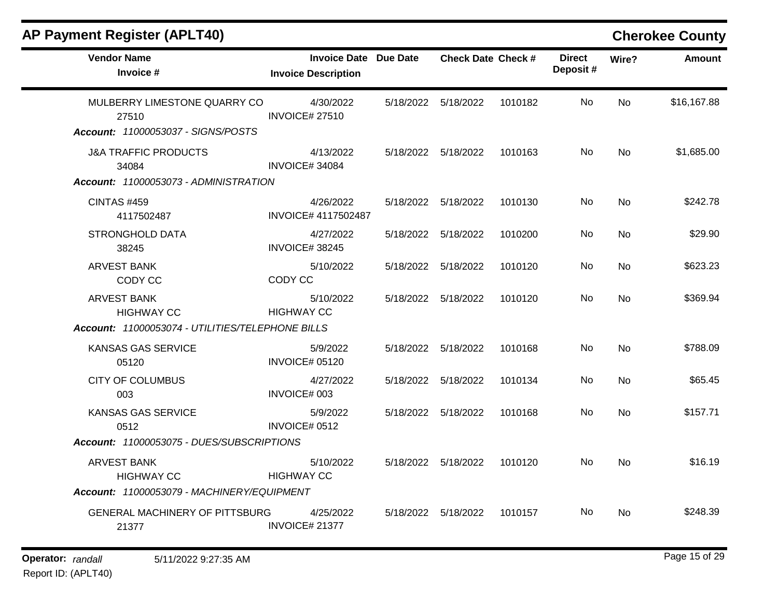| <b>Vendor Name</b><br>Invoice #                                                       | <b>Invoice Date Due Date</b><br><b>Invoice Description</b> |           | <b>Check Date Check #</b> |         | <b>Direct</b><br>Deposit# | Wire?     | <b>Amount</b> |
|---------------------------------------------------------------------------------------|------------------------------------------------------------|-----------|---------------------------|---------|---------------------------|-----------|---------------|
| MULBERRY LIMESTONE QUARRY CO<br>27510<br>Account: 11000053037 - SIGNS/POSTS           | 4/30/2022<br><b>INVOICE# 27510</b>                         | 5/18/2022 | 5/18/2022                 | 1010182 | No                        | No        | \$16,167.88   |
| <b>J&amp;A TRAFFIC PRODUCTS</b><br>34084                                              | 4/13/2022<br>INVOICE#34084                                 |           | 5/18/2022 5/18/2022       | 1010163 | No.                       | No        | \$1,685.00    |
| Account: 11000053073 - ADMINISTRATION<br><b>CINTAS #459</b><br>4117502487             | 4/26/2022<br>INVOICE# 4117502487                           |           | 5/18/2022   5/18/2022     | 1010130 | No.                       | No        | \$242.78      |
| <b>STRONGHOLD DATA</b><br>38245                                                       | 4/27/2022<br>INVOICE#38245                                 |           | 5/18/2022   5/18/2022     | 1010200 | No                        | No        | \$29.90       |
| <b>ARVEST BANK</b><br>CODY CC                                                         | 5/10/2022<br>CODY CC                                       |           | 5/18/2022   5/18/2022     | 1010120 | No.                       | No.       | \$623.23      |
| <b>ARVEST BANK</b><br><b>HIGHWAY CC</b>                                               | 5/10/2022<br><b>HIGHWAY CC</b>                             | 5/18/2022 | 5/18/2022                 | 1010120 | <b>No</b>                 | <b>No</b> | \$369.94      |
| Account: 11000053074 - UTILITIES/TELEPHONE BILLS                                      |                                                            |           |                           |         |                           |           |               |
| KANSAS GAS SERVICE<br>05120                                                           | 5/9/2022<br><b>INVOICE# 05120</b>                          | 5/18/2022 | 5/18/2022                 | 1010168 | No                        | No        | \$788.09      |
| <b>CITY OF COLUMBUS</b><br>003                                                        | 4/27/2022<br>INVOICE# 003                                  |           | 5/18/2022 5/18/2022       | 1010134 | No.                       | <b>No</b> | \$65.45       |
| <b>KANSAS GAS SERVICE</b><br>0512                                                     | 5/9/2022<br>INVOICE# 0512                                  | 5/18/2022 | 5/18/2022                 | 1010168 | <b>No</b>                 | <b>No</b> | \$157.71      |
| Account: 11000053075 - DUES/SUBSCRIPTIONS                                             |                                                            |           |                           |         |                           |           |               |
| <b>ARVEST BANK</b><br><b>HIGHWAY CC</b><br>Account: 11000053079 - MACHINERY/EQUIPMENT | 5/10/2022<br><b>HIGHWAY CC</b>                             | 5/18/2022 | 5/18/2022                 | 1010120 | No.                       | <b>No</b> | \$16.19       |
| <b>GENERAL MACHINERY OF PITTSBURG</b><br>21377                                        | 4/25/2022<br>INVOICE# 21377                                | 5/18/2022 | 5/18/2022                 | 1010157 | No.                       | No.       | \$248.39      |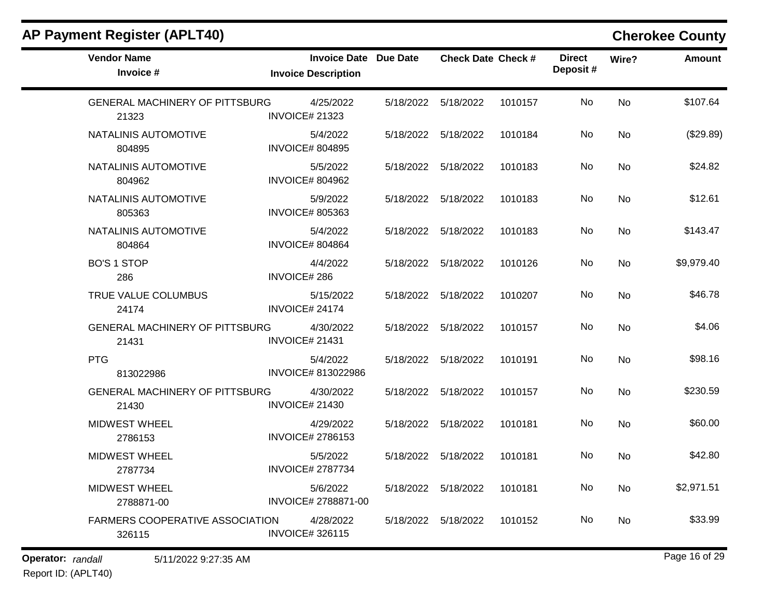| <b>Vendor Name</b><br>Invoice #                  | <b>Invoice Date Due Date</b><br><b>Invoice Description</b> |                     | <b>Check Date Check #</b> |         | <b>Direct</b><br>Deposit# | Wire?     | <b>Amount</b> |
|--------------------------------------------------|------------------------------------------------------------|---------------------|---------------------------|---------|---------------------------|-----------|---------------|
| <b>GENERAL MACHINERY OF PITTSBURG</b><br>21323   | 4/25/2022<br><b>INVOICE# 21323</b>                         |                     | 5/18/2022 5/18/2022       | 1010157 | No                        | <b>No</b> | \$107.64      |
| NATALINIS AUTOMOTIVE<br>804895                   | 5/4/2022<br><b>INVOICE# 804895</b>                         |                     | 5/18/2022 5/18/2022       | 1010184 | No                        | <b>No</b> | (\$29.89)     |
| NATALINIS AUTOMOTIVE<br>804962                   | 5/5/2022<br><b>INVOICE# 804962</b>                         | 5/18/2022 5/18/2022 |                           | 1010183 | No                        | No        | \$24.82       |
| NATALINIS AUTOMOTIVE<br>805363                   | 5/9/2022<br><b>INVOICE# 805363</b>                         |                     | 5/18/2022 5/18/2022       | 1010183 | No                        | <b>No</b> | \$12.61       |
| NATALINIS AUTOMOTIVE<br>804864                   | 5/4/2022<br><b>INVOICE# 804864</b>                         |                     | 5/18/2022 5/18/2022       | 1010183 | No.                       | <b>No</b> | \$143.47      |
| <b>BO'S 1 STOP</b><br>286                        | 4/4/2022<br><b>INVOICE#286</b>                             |                     | 5/18/2022 5/18/2022       | 1010126 | No                        | <b>No</b> | \$9,979.40    |
| TRUE VALUE COLUMBUS<br>24174                     | 5/15/2022<br>INVOICE# 24174                                |                     | 5/18/2022 5/18/2022       | 1010207 | No                        | No        | \$46.78       |
| GENERAL MACHINERY OF PITTSBURG<br>21431          | 4/30/2022<br>INVOICE# 21431                                | 5/18/2022 5/18/2022 |                           | 1010157 | No.                       | No        | \$4.06        |
| <b>PTG</b><br>813022986                          | 5/4/2022<br>INVOICE# 813022986                             |                     | 5/18/2022 5/18/2022       | 1010191 | No.                       | <b>No</b> | \$98.16       |
| GENERAL MACHINERY OF PITTSBURG<br>21430          | 4/30/2022<br><b>INVOICE# 21430</b>                         |                     | 5/18/2022 5/18/2022       | 1010157 | No.                       | No        | \$230.59      |
| <b>MIDWEST WHEEL</b><br>2786153                  | 4/29/2022<br><b>INVOICE# 2786153</b>                       |                     | 5/18/2022 5/18/2022       | 1010181 | No                        | <b>No</b> | \$60.00       |
| <b>MIDWEST WHEEL</b><br>2787734                  | 5/5/2022<br><b>INVOICE# 2787734</b>                        |                     | 5/18/2022 5/18/2022       | 1010181 | No.                       | No        | \$42.80       |
| <b>MIDWEST WHEEL</b><br>2788871-00               | 5/6/2022<br>INVOICE# 2788871-00                            |                     | 5/18/2022 5/18/2022       | 1010181 | No                        | No        | \$2,971.51    |
| <b>FARMERS COOPERATIVE ASSOCIATION</b><br>326115 | 4/28/2022<br><b>INVOICE#326115</b>                         |                     | 5/18/2022 5/18/2022       | 1010152 | No.                       | No        | \$33.99       |

# **Operator:** randall 5/11/2022 9:27:35 AM *Page 16 of 29 Page 16 of 29*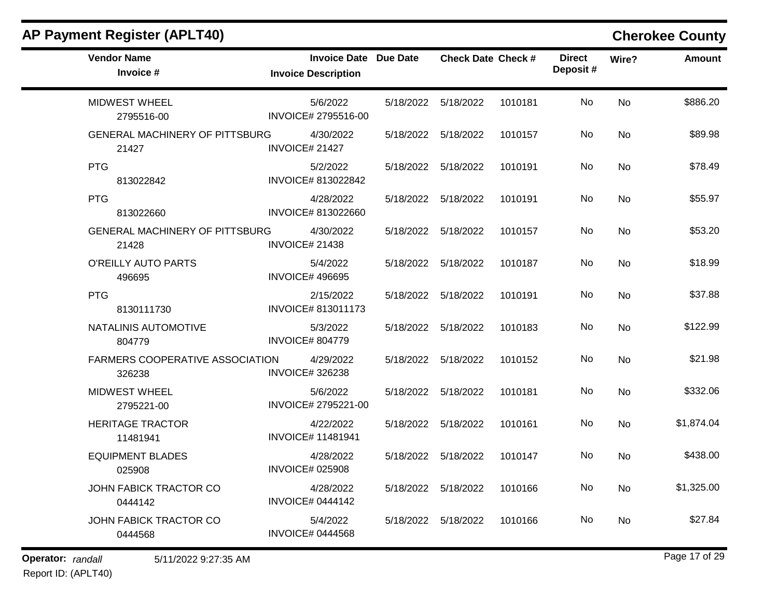| <b>AP Payment Register (APLT40)</b>            |                                                            |           |                           |         |                           |       | <b>Cherokee County</b> |
|------------------------------------------------|------------------------------------------------------------|-----------|---------------------------|---------|---------------------------|-------|------------------------|
| <b>Vendor Name</b><br>Invoice #                | <b>Invoice Date Due Date</b><br><b>Invoice Description</b> |           | <b>Check Date Check #</b> |         | <b>Direct</b><br>Deposit# | Wire? | <b>Amount</b>          |
| <b>MIDWEST WHEEL</b><br>2795516-00             | 5/6/2022<br>INVOICE# 2795516-00                            | 5/18/2022 | 5/18/2022                 | 1010181 | No                        | No    | \$886.20               |
| <b>GENERAL MACHINERY OF PITTSBURG</b><br>21427 | 4/30/2022<br>INVOICE# 21427                                | 5/18/2022 | 5/18/2022                 | 1010157 | No                        | No    | \$89.98                |
| <b>PTG</b><br>813022842                        | 5/2/2022<br>INVOICE# 813022842                             | 5/18/2022 | 5/18/2022                 | 1010191 | No                        | No    | \$78.49                |
| <b>PTG</b><br>813022660                        | 4/28/2022<br>INVOICE# 813022660                            |           | 5/18/2022 5/18/2022       | 1010191 | No                        | No    | \$55.97                |
| <b>GENERAL MACHINERY OF PITTSBURG</b><br>21428 | 4/30/2022<br><b>INVOICE# 21438</b>                         | 5/18/2022 | 5/18/2022                 | 1010157 | No                        | No    | \$53.20                |
| O'REILLY AUTO PARTS<br>496695                  | 5/4/2022<br><b>INVOICE# 496695</b>                         | 5/18/2022 | 5/18/2022                 | 1010187 | No                        | No    | \$18.99                |
| <b>PTG</b><br>8130111730                       | 2/15/2022<br>INVOICE# 813011173                            | 5/18/2022 | 5/18/2022                 | 1010191 | No                        | No    | \$37.88                |
| NATALINIS AUTOMOTIVE<br>804779                 | 5/3/2022<br><b>INVOICE# 804779</b>                         | 5/18/2022 | 5/18/2022                 | 1010183 | No                        | No    | \$122.99               |
| FARMERS COOPERATIVE ASSOCIATION<br>326238      | 4/29/2022<br><b>INVOICE#326238</b>                         | 5/18/2022 | 5/18/2022                 | 1010152 | No                        | No    | \$21.98                |
| <b>MIDWEST WHEEL</b><br>2795221-00             | 5/6/2022<br>INVOICE# 2795221-00                            | 5/18/2022 | 5/18/2022                 | 1010181 | No                        | No    | \$332.06               |
| <b>HERITAGE TRACTOR</b><br>11481941            | 4/22/2022<br><b>INVOICE# 11481941</b>                      | 5/18/2022 | 5/18/2022                 | 1010161 | No                        | No    | \$1,874.04             |
| <b>EQUIPMENT BLADES</b><br>025908              | 4/28/2022<br><b>INVOICE# 025908</b>                        | 5/18/2022 | 5/18/2022                 | 1010147 | No                        | No    | \$438.00               |
| JOHN FABICK TRACTOR CO<br>0444142              | 4/28/2022<br><b>INVOICE# 0444142</b>                       |           | 5/18/2022 5/18/2022       | 1010166 | No                        | No    | \$1,325.00             |
| JOHN FABICK TRACTOR CO<br>0444568              | 5/4/2022<br><b>INVOICE# 0444568</b>                        |           | 5/18/2022 5/18/2022       | 1010166 | No                        | No    | \$27.84                |

**Operator:** randall 5/11/2022 9:27:35 AM *Page 17* **of 29** *Page 17* **of 29** 

Report ID: (APLT40)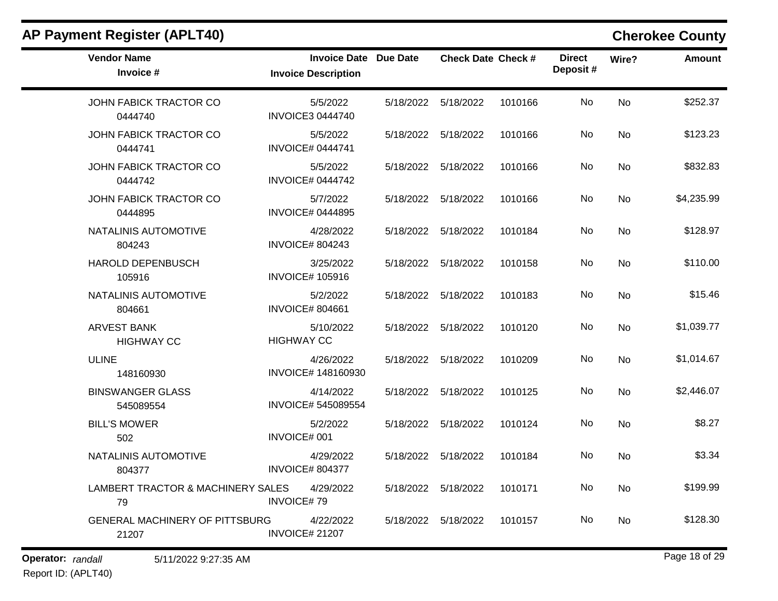| <b>Vendor Name</b><br>Invoice #                   | <b>Invoice Date Due Date</b><br><b>Invoice Description</b> | <b>Check Date Check #</b> |         | <b>Direct</b><br>Deposit# | Wire?     | <b>Amount</b> |
|---------------------------------------------------|------------------------------------------------------------|---------------------------|---------|---------------------------|-----------|---------------|
| JOHN FABICK TRACTOR CO<br>0444740                 | 5/5/2022<br><b>INVOICE3 0444740</b>                        | 5/18/2022 5/18/2022       | 1010166 | No.                       | No        | \$252.37      |
| JOHN FABICK TRACTOR CO<br>0444741                 | 5/5/2022<br><b>INVOICE# 0444741</b>                        | 5/18/2022 5/18/2022       | 1010166 | No                        | No        | \$123.23      |
| JOHN FABICK TRACTOR CO<br>0444742                 | 5/5/2022<br><b>INVOICE# 0444742</b>                        | 5/18/2022 5/18/2022       | 1010166 | No                        | No        | \$832.83      |
| JOHN FABICK TRACTOR CO<br>0444895                 | 5/7/2022<br><b>INVOICE# 0444895</b>                        | 5/18/2022 5/18/2022       | 1010166 | No                        | No        | \$4,235.99    |
| NATALINIS AUTOMOTIVE<br>804243                    | 4/28/2022<br><b>INVOICE# 804243</b>                        | 5/18/2022 5/18/2022       | 1010184 | No                        | <b>No</b> | \$128.97      |
| HAROLD DEPENBUSCH<br>105916                       | 3/25/2022<br><b>INVOICE# 105916</b>                        | 5/18/2022 5/18/2022       | 1010158 | No                        | <b>No</b> | \$110.00      |
| NATALINIS AUTOMOTIVE<br>804661                    | 5/2/2022<br><b>INVOICE# 804661</b>                         | 5/18/2022 5/18/2022       | 1010183 | No                        | <b>No</b> | \$15.46       |
| <b>ARVEST BANK</b><br><b>HIGHWAY CC</b>           | 5/10/2022<br><b>HIGHWAY CC</b>                             | 5/18/2022 5/18/2022       | 1010120 | No                        | <b>No</b> | \$1,039.77    |
| <b>ULINE</b><br>148160930                         | 4/26/2022<br>INVOICE# 148160930                            | 5/18/2022 5/18/2022       | 1010209 | No                        | <b>No</b> | \$1,014.67    |
| <b>BINSWANGER GLASS</b><br>545089554              | 4/14/2022<br>INVOICE# 545089554                            | 5/18/2022 5/18/2022       | 1010125 | No.                       | <b>No</b> | \$2,446.07    |
| <b>BILL'S MOWER</b><br>502                        | 5/2/2022<br>INVOICE# 001                                   | 5/18/2022 5/18/2022       | 1010124 | No                        | <b>No</b> | \$8.27        |
| NATALINIS AUTOMOTIVE<br>804377                    | 4/29/2022<br><b>INVOICE# 804377</b>                        | 5/18/2022 5/18/2022       | 1010184 | No.                       | <b>No</b> | \$3.34        |
| LAMBERT TRACTOR & MACHINERY SALES 4/29/2022<br>79 | <b>INVOICE#79</b>                                          | 5/18/2022 5/18/2022       | 1010171 | No.                       | No        | \$199.99      |
| GENERAL MACHINERY OF PITTSBURG<br>21207           | 4/22/2022<br><b>INVOICE# 21207</b>                         | 5/18/2022 5/18/2022       | 1010157 | No.                       | <b>No</b> | \$128.30      |

**Operator:** randall 5/11/2022 9:27:35 AM *Page 18 of 29 Page 18 of 29*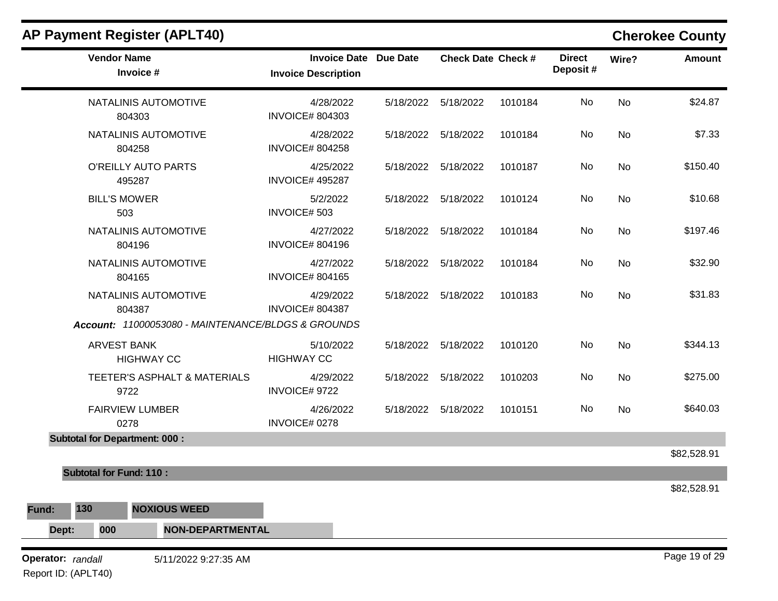|              | <b>AP Payment Register (APLT40)</b>                |                                                            |           |                           |         |                           |           | <b>Cherokee County</b> |
|--------------|----------------------------------------------------|------------------------------------------------------------|-----------|---------------------------|---------|---------------------------|-----------|------------------------|
|              | <b>Vendor Name</b><br>Invoice #                    | <b>Invoice Date Due Date</b><br><b>Invoice Description</b> |           | <b>Check Date Check #</b> |         | <b>Direct</b><br>Deposit# | Wire?     | <b>Amount</b>          |
|              | NATALINIS AUTOMOTIVE<br>804303                     | 4/28/2022<br><b>INVOICE# 804303</b>                        | 5/18/2022 | 5/18/2022                 | 1010184 | No                        | <b>No</b> | \$24.87                |
|              | <b>NATALINIS AUTOMOTIVE</b><br>804258              | 4/28/2022<br><b>INVOICE# 804258</b>                        |           | 5/18/2022 5/18/2022       | 1010184 | No                        | <b>No</b> | \$7.33                 |
|              | <b>O'REILLY AUTO PARTS</b><br>495287               | 4/25/2022<br><b>INVOICE# 495287</b>                        |           | 5/18/2022 5/18/2022       | 1010187 | No                        | No        | \$150.40               |
|              | <b>BILL'S MOWER</b><br>503                         | 5/2/2022<br>INVOICE# 503                                   |           | 5/18/2022 5/18/2022       | 1010124 | No                        | <b>No</b> | \$10.68                |
|              | NATALINIS AUTOMOTIVE<br>804196                     | 4/27/2022<br><b>INVOICE# 804196</b>                        |           | 5/18/2022 5/18/2022       | 1010184 | No                        | No        | \$197.46               |
|              | NATALINIS AUTOMOTIVE<br>804165                     | 4/27/2022<br><b>INVOICE# 804165</b>                        | 5/18/2022 | 5/18/2022                 | 1010184 | No                        | No        | \$32.90                |
|              | NATALINIS AUTOMOTIVE<br>804387                     | 4/29/2022<br><b>INVOICE# 804387</b>                        |           | 5/18/2022 5/18/2022       | 1010183 | No                        | <b>No</b> | \$31.83                |
|              | Account: 11000053080 - MAINTENANCE/BLDGS & GROUNDS |                                                            |           |                           |         |                           |           |                        |
|              | <b>ARVEST BANK</b><br><b>HIGHWAY CC</b>            | 5/10/2022<br><b>HIGHWAY CC</b>                             | 5/18/2022 | 5/18/2022                 | 1010120 | No                        | <b>No</b> | \$344.13               |
|              | TEETER'S ASPHALT & MATERIALS<br>9722               | 4/29/2022<br>INVOICE# 9722                                 | 5/18/2022 | 5/18/2022                 | 1010203 | No                        | <b>No</b> | \$275.00               |
|              | <b>FAIRVIEW LUMBER</b><br>0278                     | 4/26/2022<br>INVOICE# 0278                                 | 5/18/2022 | 5/18/2022                 | 1010151 | No                        | <b>No</b> | \$640.03               |
|              | <b>Subtotal for Department: 000:</b>               |                                                            |           |                           |         |                           |           | \$82,528.91            |
|              | <b>Subtotal for Fund: 110:</b>                     |                                                            |           |                           |         |                           |           |                        |
|              |                                                    |                                                            |           |                           |         |                           |           | \$82,528.91            |
| 130<br>Fund: | <b>NOXIOUS WEED</b>                                |                                                            |           |                           |         |                           |           |                        |
|              | NON-DEPARTMENTAL<br>000                            |                                                            |           |                           |         |                           |           |                        |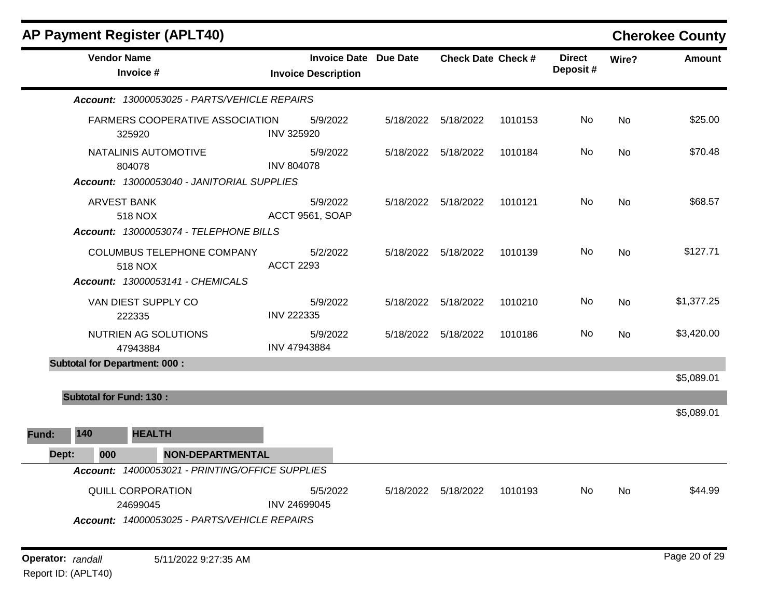|       | <b>AP Payment Register (APLT40)</b>                                                  |                                                            |                           |         |                           |                | <b>Cherokee County</b> |
|-------|--------------------------------------------------------------------------------------|------------------------------------------------------------|---------------------------|---------|---------------------------|----------------|------------------------|
|       | <b>Vendor Name</b><br>Invoice #                                                      | <b>Invoice Date Due Date</b><br><b>Invoice Description</b> | <b>Check Date Check #</b> |         | <b>Direct</b><br>Deposit# | Wire?          | <b>Amount</b>          |
|       | Account: 13000053025 - PARTS/VEHICLE REPAIRS                                         |                                                            |                           |         |                           |                |                        |
|       | FARMERS COOPERATIVE ASSOCIATION<br>325920                                            | 5/9/2022<br><b>INV 325920</b>                              | 5/18/2022 5/18/2022       | 1010153 | No.                       | N <sub>o</sub> | \$25.00                |
|       | NATALINIS AUTOMOTIVE<br>804078<br>Account: 13000053040 - JANITORIAL SUPPLIES         | 5/9/2022<br><b>INV 804078</b>                              | 5/18/2022 5/18/2022       | 1010184 | No                        | No             | \$70.48                |
|       | <b>ARVEST BANK</b><br>518 NOX<br>Account: 13000053074 - TELEPHONE BILLS              | 5/9/2022<br>ACCT 9561, SOAP                                | 5/18/2022 5/18/2022       | 1010121 | No.                       | No.            | \$68.57                |
|       | COLUMBUS TELEPHONE COMPANY<br>518 NOX<br>Account: 13000053141 - CHEMICALS            | 5/2/2022<br><b>ACCT 2293</b>                               | 5/18/2022   5/18/2022     | 1010139 | No.                       | No             | \$127.71               |
|       | VAN DIEST SUPPLY CO<br>222335                                                        | 5/9/2022<br><b>INV 222335</b>                              | 5/18/2022 5/18/2022       | 1010210 | No                        | <b>No</b>      | \$1,377.25             |
|       | NUTRIEN AG SOLUTIONS<br>47943884                                                     | 5/9/2022<br>INV 47943884                                   | 5/18/2022 5/18/2022       | 1010186 | No.                       | <b>No</b>      | \$3,420.00             |
|       | <b>Subtotal for Department: 000:</b>                                                 |                                                            |                           |         |                           |                | \$5,089.01             |
|       | <b>Subtotal for Fund: 130:</b>                                                       |                                                            |                           |         |                           |                |                        |
|       |                                                                                      |                                                            |                           |         |                           |                | \$5,089.01             |
| Fund: | 140<br><b>HEALTH</b>                                                                 |                                                            |                           |         |                           |                |                        |
| Dept: | 000<br><b>NON-DEPARTMENTAL</b>                                                       |                                                            |                           |         |                           |                |                        |
|       | Account: 14000053021 - PRINTING/OFFICE SUPPLIES                                      |                                                            |                           |         |                           |                |                        |
|       | <b>QUILL CORPORATION</b><br>24699045<br>Account: 14000053025 - PARTS/VEHICLE REPAIRS | 5/5/2022<br>INV 24699045                                   | 5/18/2022 5/18/2022       | 1010193 | No.                       | N <sub>o</sub> | \$44.99                |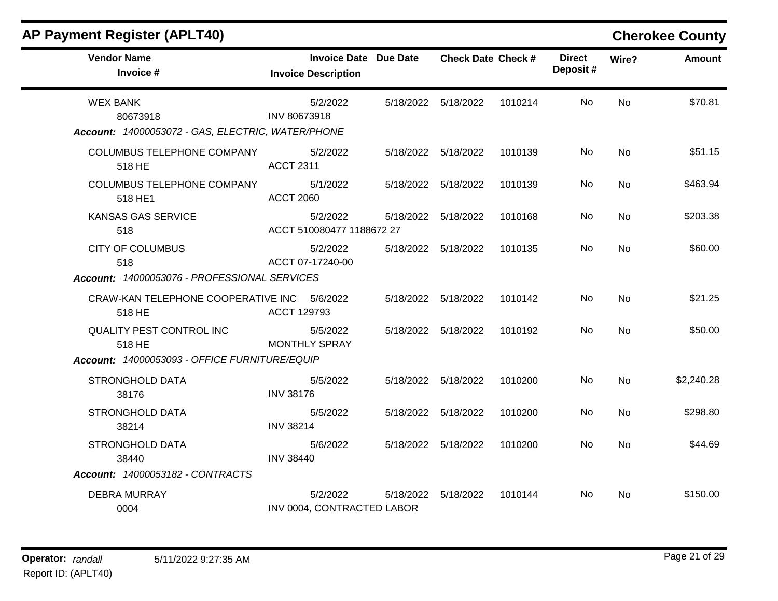| <b>AP Payment Register (APLT40)</b> |  |  |  |  |
|-------------------------------------|--|--|--|--|
|-------------------------------------|--|--|--|--|

## **Cherokee County**

| <b>Vendor Name</b><br>Invoice #                       | <b>Invoice Date Due Date</b><br><b>Invoice Description</b> |           | <b>Check Date Check #</b> |         | <b>Direct</b><br>Deposit# | Wire?     | <b>Amount</b> |
|-------------------------------------------------------|------------------------------------------------------------|-----------|---------------------------|---------|---------------------------|-----------|---------------|
| <b>WEX BANK</b><br>80673918                           | 5/2/2022<br>INV 80673918                                   |           | 5/18/2022 5/18/2022       | 1010214 | No                        | No        | \$70.81       |
| Account: 14000053072 - GAS, ELECTRIC, WATER/PHONE     |                                                            |           |                           |         |                           |           |               |
| COLUMBUS TELEPHONE COMPANY<br>518 HE                  | 5/2/2022<br><b>ACCT 2311</b>                               |           | 5/18/2022 5/18/2022       | 1010139 | No                        | <b>No</b> | \$51.15       |
| COLUMBUS TELEPHONE COMPANY<br>518 HE1                 | 5/1/2022<br><b>ACCT 2060</b>                               |           | 5/18/2022 5/18/2022       | 1010139 | No.                       | <b>No</b> | \$463.94      |
| <b>KANSAS GAS SERVICE</b><br>518                      | 5/2/2022<br>ACCT 510080477 1188672 27                      |           | 5/18/2022 5/18/2022       | 1010168 | No                        | <b>No</b> | \$203.38      |
| <b>CITY OF COLUMBUS</b><br>518                        | 5/2/2022<br>ACCT 07-17240-00                               | 5/18/2022 | 5/18/2022                 | 1010135 | No                        | No        | \$60.00       |
| Account: 14000053076 - PROFESSIONAL SERVICES          |                                                            |           |                           |         |                           |           |               |
| CRAW-KAN TELEPHONE COOPERATIVE INC 5/6/2022<br>518 HE | ACCT 129793                                                |           | 5/18/2022 5/18/2022       | 1010142 | No                        | <b>No</b> | \$21.25       |
| QUALITY PEST CONTROL INC<br>518 HE                    | 5/5/2022<br><b>MONTHLY SPRAY</b>                           |           | 5/18/2022 5/18/2022       | 1010192 | No                        | <b>No</b> | \$50.00       |
| Account: 14000053093 - OFFICE FURNITURE/EQUIP         |                                                            |           |                           |         |                           |           |               |
| <b>STRONGHOLD DATA</b><br>38176                       | 5/5/2022<br><b>INV 38176</b>                               |           | 5/18/2022 5/18/2022       | 1010200 | No.                       | No        | \$2,240.28    |
| <b>STRONGHOLD DATA</b><br>38214                       | 5/5/2022<br><b>INV 38214</b>                               |           | 5/18/2022 5/18/2022       | 1010200 | No                        | <b>No</b> | \$298.80      |
| STRONGHOLD DATA<br>38440                              | 5/6/2022<br><b>INV 38440</b>                               |           | 5/18/2022 5/18/2022       | 1010200 | No                        | No        | \$44.69       |
| Account: 14000053182 - CONTRACTS                      |                                                            |           |                           |         |                           |           |               |
| <b>DEBRA MURRAY</b><br>0004                           | 5/2/2022<br>INV 0004, CONTRACTED LABOR                     | 5/18/2022 | 5/18/2022                 | 1010144 | No.                       | No        | \$150.00      |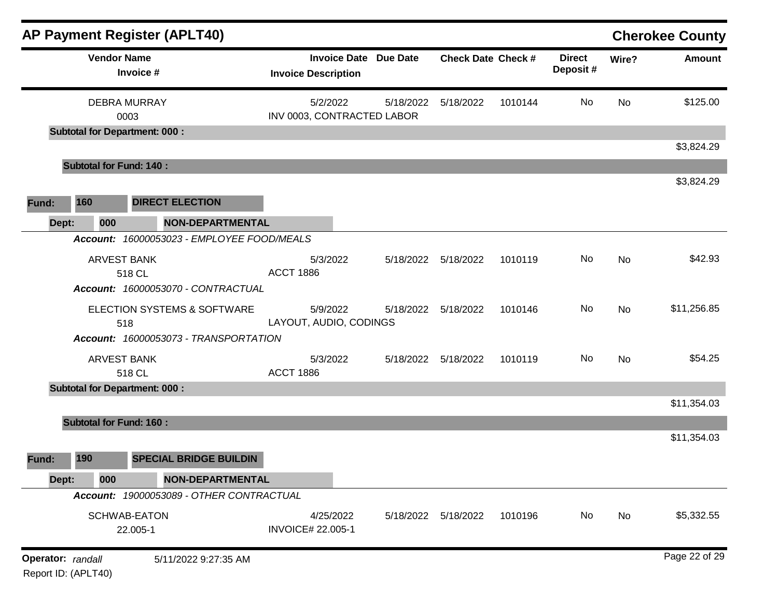|                   |                                      |                                 | <b>AP Payment Register (APLT40)</b>        |                                       |                              |                           |         |                           |           | <b>Cherokee County</b> |
|-------------------|--------------------------------------|---------------------------------|--------------------------------------------|---------------------------------------|------------------------------|---------------------------|---------|---------------------------|-----------|------------------------|
|                   |                                      | <b>Vendor Name</b><br>Invoice # |                                            | <b>Invoice Description</b>            | <b>Invoice Date Due Date</b> | <b>Check Date Check #</b> |         | <b>Direct</b><br>Deposit# | Wire?     | <b>Amount</b>          |
|                   |                                      | <b>DEBRA MURRAY</b>             |                                            | 5/2/2022                              | 5/18/2022                    | 5/18/2022                 | 1010144 | No                        | <b>No</b> | \$125.00               |
|                   | <b>Subtotal for Department: 000:</b> | 0003                            |                                            | INV 0003, CONTRACTED LABOR            |                              |                           |         |                           |           |                        |
|                   |                                      |                                 |                                            |                                       |                              |                           |         |                           |           | \$3,824.29             |
|                   | <b>Subtotal for Fund: 140:</b>       |                                 |                                            |                                       |                              |                           |         |                           |           |                        |
|                   |                                      |                                 |                                            |                                       |                              |                           |         |                           |           | \$3,824.29             |
| Fund:             | 160                                  |                                 | <b>DIRECT ELECTION</b>                     |                                       |                              |                           |         |                           |           |                        |
| Dept:             | 000                                  |                                 | <b>NON-DEPARTMENTAL</b>                    |                                       |                              |                           |         |                           |           |                        |
|                   |                                      |                                 | Account: 16000053023 - EMPLOYEE FOOD/MEALS |                                       |                              |                           |         |                           |           |                        |
|                   |                                      | <b>ARVEST BANK</b>              |                                            | 5/3/2022<br><b>ACCT 1886</b>          |                              | 5/18/2022 5/18/2022       | 1010119 | No                        | No        | \$42.93                |
|                   |                                      | 518 CL                          | Account: 16000053070 - CONTRACTUAL         |                                       |                              |                           |         |                           |           |                        |
|                   |                                      | 518                             | ELECTION SYSTEMS & SOFTWARE                | 5/9/2022<br>LAYOUT, AUDIO, CODINGS    | 5/18/2022                    | 5/18/2022                 | 1010146 | No                        | No        | \$11,256.85            |
|                   |                                      |                                 | Account: 16000053073 - TRANSPORTATION      |                                       |                              |                           |         |                           |           |                        |
|                   |                                      | <b>ARVEST BANK</b><br>518 CL    |                                            | 5/3/2022<br><b>ACCT 1886</b>          |                              | 5/18/2022 5/18/2022       | 1010119 | No                        | No        | \$54.25                |
|                   | <b>Subtotal for Department: 000:</b> |                                 |                                            |                                       |                              |                           |         |                           |           |                        |
|                   |                                      |                                 |                                            |                                       |                              |                           |         |                           |           | \$11,354.03            |
|                   | <b>Subtotal for Fund: 160:</b>       |                                 |                                            |                                       |                              |                           |         |                           |           |                        |
|                   |                                      |                                 |                                            |                                       |                              |                           |         |                           |           | \$11,354.03            |
| Fund:             | 190                                  |                                 | <b>SPECIAL BRIDGE BUILDIN</b>              |                                       |                              |                           |         |                           |           |                        |
| Dept:             | 000                                  |                                 | <b>NON-DEPARTMENTAL</b>                    |                                       |                              |                           |         |                           |           |                        |
|                   |                                      |                                 | Account: 19000053089 - OTHER CONTRACTUAL   |                                       |                              |                           |         |                           |           |                        |
|                   |                                      | SCHWAB-EATON<br>22.005-1        |                                            | 4/25/2022<br><b>INVOICE# 22.005-1</b> | 5/18/2022                    | 5/18/2022                 | 1010196 | No                        | No        | \$5,332.55             |
| Operator: randall | Report ID: (APLT40)                  |                                 | 5/11/2022 9:27:35 AM                       |                                       |                              |                           |         |                           |           | Page 22 of 29          |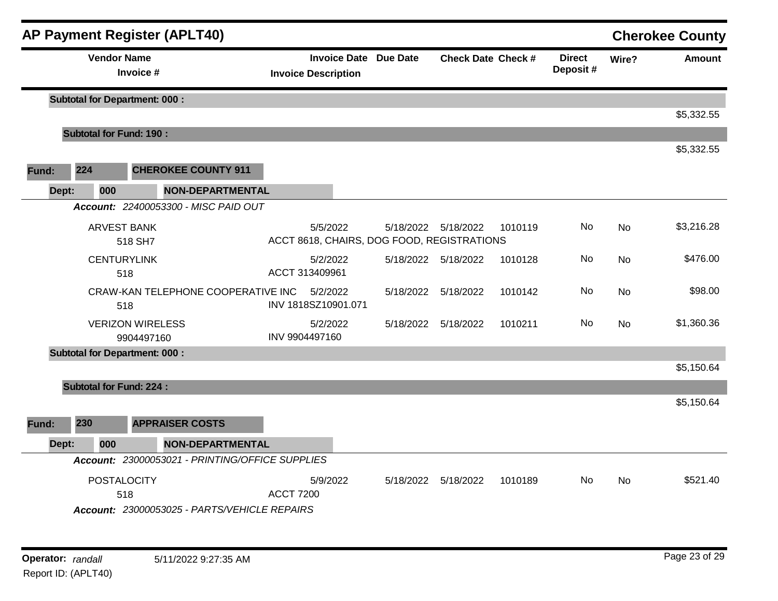|       |                                      | <b>AP Payment Register (APLT40)</b>             |                  |                                                            |           |                           |         |                           |           | <b>Cherokee County</b> |
|-------|--------------------------------------|-------------------------------------------------|------------------|------------------------------------------------------------|-----------|---------------------------|---------|---------------------------|-----------|------------------------|
|       | <b>Vendor Name</b>                   | Invoice #                                       |                  | <b>Invoice Date Due Date</b><br><b>Invoice Description</b> |           | <b>Check Date Check #</b> |         | <b>Direct</b><br>Deposit# | Wire?     | <b>Amount</b>          |
|       | <b>Subtotal for Department: 000:</b> |                                                 |                  |                                                            |           |                           |         |                           |           |                        |
|       |                                      |                                                 |                  |                                                            |           |                           |         |                           |           | \$5,332.55             |
|       | <b>Subtotal for Fund: 190:</b>       |                                                 |                  |                                                            |           |                           |         |                           |           | \$5,332.55             |
| Fund: | 224                                  | <b>CHEROKEE COUNTY 911</b>                      |                  |                                                            |           |                           |         |                           |           |                        |
| Dept: | 000                                  | <b>NON-DEPARTMENTAL</b>                         |                  |                                                            |           |                           |         |                           |           |                        |
|       |                                      | Account: 22400053300 - MISC PAID OUT            |                  |                                                            |           |                           |         |                           |           |                        |
|       | <b>ARVEST BANK</b>                   | 518 SH7                                         |                  | 5/5/2022<br>ACCT 8618, CHAIRS, DOG FOOD, REGISTRATIONS     | 5/18/2022 | 5/18/2022                 | 1010119 | No.                       | <b>No</b> | \$3,216.28             |
|       | <b>CENTURYLINK</b><br>518            |                                                 |                  | 5/2/2022<br>ACCT 313409961                                 |           | 5/18/2022 5/18/2022       | 1010128 | No.                       | No        | \$476.00               |
|       | 518                                  | CRAW-KAN TELEPHONE COOPERATIVE INC              |                  | 5/2/2022<br>INV 1818SZ10901.071                            | 5/18/2022 | 5/18/2022                 | 1010142 | No.                       | <b>No</b> | \$98.00                |
|       |                                      | <b>VERIZON WIRELESS</b><br>9904497160           |                  | 5/2/2022<br>INV 9904497160                                 | 5/18/2022 | 5/18/2022                 | 1010211 | No                        | <b>No</b> | \$1,360.36             |
|       | <b>Subtotal for Department: 000:</b> |                                                 |                  |                                                            |           |                           |         |                           |           |                        |
|       |                                      |                                                 |                  |                                                            |           |                           |         |                           |           | \$5,150.64             |
|       | <b>Subtotal for Fund: 224:</b>       |                                                 |                  |                                                            |           |                           |         |                           |           |                        |
|       |                                      |                                                 |                  |                                                            |           |                           |         |                           |           | \$5,150.64             |
| Fund: | 230                                  | <b>APPRAISER COSTS</b>                          |                  |                                                            |           |                           |         |                           |           |                        |
| Dept: | 000                                  | <b>NON-DEPARTMENTAL</b>                         |                  |                                                            |           |                           |         |                           |           |                        |
|       |                                      | Account: 23000053021 - PRINTING/OFFICE SUPPLIES |                  |                                                            |           |                           |         |                           |           |                        |
|       | POSTALOCITY<br>518                   |                                                 | <b>ACCT 7200</b> | 5/9/2022                                                   | 5/18/2022 | 5/18/2022                 | 1010189 | No.                       | <b>No</b> | \$521.40               |
|       |                                      | Account: 23000053025 - PARTS/VEHICLE REPAIRS    |                  |                                                            |           |                           |         |                           |           |                        |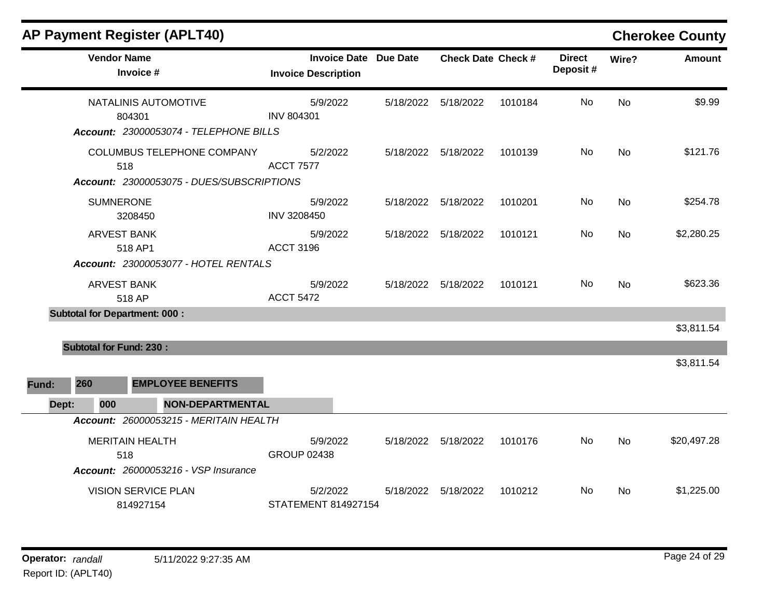|       | <b>Vendor Name</b><br>Invoice #         |                                             | <b>Invoice Description</b>      | <b>Invoice Date Due Date</b> | <b>Check Date Check #</b> |         | <b>Direct</b><br>Deposit# | Wire?     | <b>Amount</b> |
|-------|-----------------------------------------|---------------------------------------------|---------------------------------|------------------------------|---------------------------|---------|---------------------------|-----------|---------------|
|       | 804301                                  | NATALINIS AUTOMOTIVE                        | 5/9/2022<br><b>INV 804301</b>   | 5/18/2022                    | 5/18/2022                 | 1010184 | No                        | No        | \$9.99        |
|       |                                         | Account: 23000053074 - TELEPHONE BILLS      |                                 |                              |                           |         |                           |           |               |
|       | 518                                     | COLUMBUS TELEPHONE COMPANY                  | 5/2/2022<br><b>ACCT 7577</b>    |                              | 5/18/2022 5/18/2022       | 1010139 | No                        | <b>No</b> | \$121.76      |
|       |                                         | Account: 23000053075 - DUES/SUBSCRIPTIONS   |                                 |                              |                           |         |                           |           |               |
|       | <b>SUMNERONE</b><br>3208450             |                                             | 5/9/2022<br>INV 3208450         |                              | 5/18/2022   5/18/2022     | 1010201 | No                        | No        | \$254.78      |
|       | <b>ARVEST BANK</b><br>518 AP1           |                                             | 5/9/2022<br><b>ACCT 3196</b>    |                              | 5/18/2022 5/18/2022       | 1010121 | No                        | <b>No</b> | \$2,280.25    |
|       |                                         | Account: 23000053077 - HOTEL RENTALS        |                                 |                              |                           |         |                           |           |               |
|       | <b>ARVEST BANK</b><br>518 AP            |                                             | 5/9/2022<br><b>ACCT 5472</b>    |                              | 5/18/2022 5/18/2022       | 1010121 | No.                       | <b>No</b> | \$623.36      |
|       | <b>Subtotal for Department: 000:</b>    |                                             |                                 |                              |                           |         |                           |           |               |
|       |                                         |                                             |                                 |                              |                           |         |                           |           | \$3,811.54    |
|       | <b>Subtotal for Fund: 230:</b>          |                                             |                                 |                              |                           |         |                           |           |               |
|       |                                         |                                             |                                 |                              |                           |         |                           |           | \$3,811.54    |
| Fund: | 260                                     | <b>EMPLOYEE BENEFITS</b>                    |                                 |                              |                           |         |                           |           |               |
| Dept: | 000                                     | NON-DEPARTMENTAL                            |                                 |                              |                           |         |                           |           |               |
|       |                                         | Account: 26000053215 - MERITAIN HEALTH      |                                 |                              |                           |         |                           |           |               |
|       | <b>MERITAIN HEALTH</b><br>518           |                                             | 5/9/2022<br><b>GROUP 02438</b>  |                              | 5/18/2022 5/18/2022       | 1010176 | No                        | No        | \$20,497.28   |
|       |                                         | <b>Account: 26000053216 - VSP Insurance</b> |                                 |                              |                           |         |                           |           |               |
|       | <b>VISION SERVICE PLAN</b><br>814927154 |                                             | 5/2/2022<br>STATEMENT 814927154 | 5/18/2022                    | 5/18/2022                 | 1010212 | No.                       | No        | \$1,225.00    |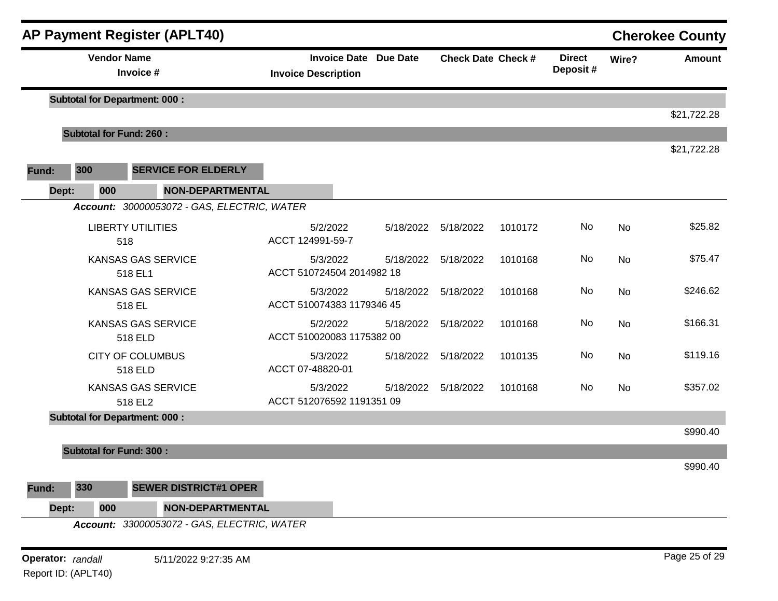|       |                                 |     | <b>AP Payment Register (APLT40)</b>         |                                       |                           |                     |                           |       |               | <b>Cherokee County</b> |
|-------|---------------------------------|-----|---------------------------------------------|---------------------------------------|---------------------------|---------------------|---------------------------|-------|---------------|------------------------|
|       | <b>Vendor Name</b><br>Invoice # |     | <b>Invoice Description</b>                  | <b>Invoice Date Due Date</b>          | <b>Check Date Check #</b> |                     | <b>Direct</b><br>Deposit# | Wire? | <b>Amount</b> |                        |
|       |                                 |     | <b>Subtotal for Department: 000:</b>        |                                       |                           |                     |                           |       |               |                        |
|       |                                 |     | <b>Subtotal for Fund: 260:</b>              |                                       |                           |                     |                           |       |               | \$21,722.28            |
|       |                                 |     |                                             |                                       |                           |                     |                           |       |               | \$21,722.28            |
| Fund: | 300                             |     | <b>SERVICE FOR ELDERLY</b>                  |                                       |                           |                     |                           |       |               |                        |
|       | Dept:                           | 000 | <b>NON-DEPARTMENTAL</b>                     |                                       |                           |                     |                           |       |               |                        |
|       |                                 |     | Account: 30000053072 - GAS, ELECTRIC, WATER |                                       |                           |                     |                           |       |               |                        |
|       |                                 | 518 | <b>LIBERTY UTILITIES</b>                    | 5/2/2022<br>ACCT 124991-59-7          |                           | 5/18/2022 5/18/2022 | 1010172                   | No    | No            | \$25.82                |
|       |                                 |     | <b>KANSAS GAS SERVICE</b><br>518 EL1        | 5/3/2022<br>ACCT 510724504 2014982 18 | 5/18/2022                 | 5/18/2022           | 1010168                   | No    | No            | \$75.47                |
|       |                                 |     | <b>KANSAS GAS SERVICE</b><br>518 EL         | 5/3/2022<br>ACCT 510074383 1179346 45 | 5/18/2022                 | 5/18/2022           | 1010168                   | No    | No            | \$246.62               |
|       |                                 |     | KANSAS GAS SERVICE<br>518 ELD               | 5/2/2022<br>ACCT 510020083 1175382 00 | 5/18/2022                 | 5/18/2022           | 1010168                   | No    | No            | \$166.31               |
|       |                                 |     | <b>CITY OF COLUMBUS</b><br>518 ELD          | 5/3/2022<br>ACCT 07-48820-01          | 5/18/2022                 | 5/18/2022           | 1010135                   | No    | No            | \$119.16               |
|       |                                 |     | KANSAS GAS SERVICE<br>518 EL2               | 5/3/2022<br>ACCT 512076592 1191351 09 | 5/18/2022                 | 5/18/2022           | 1010168                   | No    | No            | \$357.02               |
|       |                                 |     | <b>Subtotal for Department: 000:</b>        |                                       |                           |                     |                           |       |               |                        |
|       |                                 |     |                                             |                                       |                           |                     |                           |       |               | \$990.40               |
|       |                                 |     | <b>Subtotal for Fund: 300:</b>              |                                       |                           |                     |                           |       |               | \$990.40               |
| Fund: | 330                             |     | <b>SEWER DISTRICT#1 OPER</b>                |                                       |                           |                     |                           |       |               |                        |
|       | Dept:                           | 000 | NON-DEPARTMENTAL                            |                                       |                           |                     |                           |       |               |                        |
|       |                                 |     | Account: 33000053072 - GAS, ELECTRIC, WATER |                                       |                           |                     |                           |       |               |                        |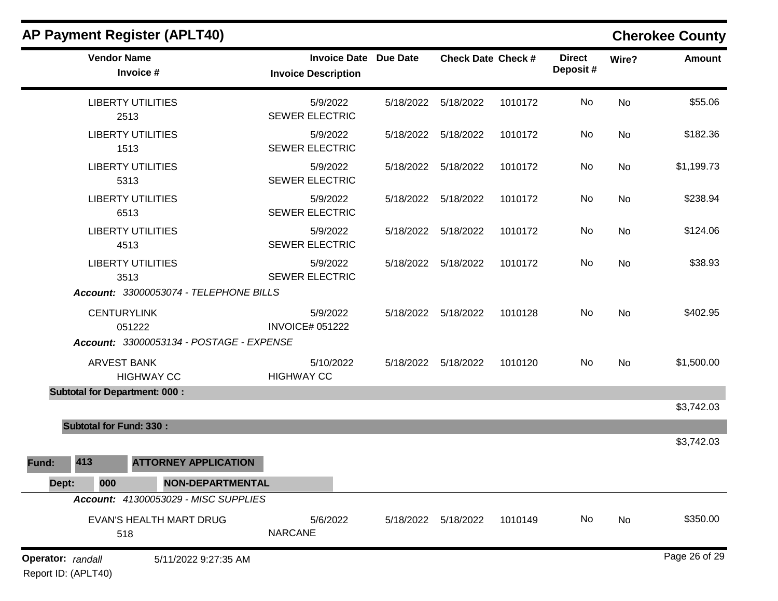|                   |                                      | $\ldots$ . a gradient $\ldots$ and $\ldots$ |                                                            |                           |         |                           |           | UNU UNUU UUUNIY |
|-------------------|--------------------------------------|---------------------------------------------|------------------------------------------------------------|---------------------------|---------|---------------------------|-----------|-----------------|
|                   | <b>Vendor Name</b>                   | Invoice #                                   | <b>Invoice Date Due Date</b><br><b>Invoice Description</b> | <b>Check Date Check #</b> |         | <b>Direct</b><br>Deposit# | Wire?     | <b>Amount</b>   |
|                   | <b>LIBERTY UTILITIES</b><br>2513     |                                             | 5/9/2022<br><b>SEWER ELECTRIC</b>                          | 5/18/2022   5/18/2022     | 1010172 | <b>No</b>                 | No        | \$55.06         |
|                   | <b>LIBERTY UTILITIES</b><br>1513     |                                             | 5/9/2022<br><b>SEWER ELECTRIC</b>                          | 5/18/2022 5/18/2022       | 1010172 | No                        | <b>No</b> | \$182.36        |
|                   | <b>LIBERTY UTILITIES</b><br>5313     |                                             | 5/9/2022<br><b>SEWER ELECTRIC</b>                          | 5/18/2022 5/18/2022       | 1010172 | No                        | No        | \$1,199.73      |
|                   | <b>LIBERTY UTILITIES</b><br>6513     |                                             | 5/9/2022<br><b>SEWER ELECTRIC</b>                          | 5/18/2022 5/18/2022       | 1010172 | No                        | <b>No</b> | \$238.94        |
|                   | <b>LIBERTY UTILITIES</b><br>4513     |                                             | 5/9/2022<br><b>SEWER ELECTRIC</b>                          | 5/18/2022 5/18/2022       | 1010172 | No                        | <b>No</b> | \$124.06        |
|                   | <b>LIBERTY UTILITIES</b><br>3513     |                                             | 5/9/2022<br><b>SEWER ELECTRIC</b>                          | 5/18/2022 5/18/2022       | 1010172 | No                        | No        | \$38.93         |
|                   |                                      | Account: 33000053074 - TELEPHONE BILLS      |                                                            |                           |         |                           |           |                 |
|                   | <b>CENTURYLINK</b><br>051222         |                                             | 5/9/2022<br><b>INVOICE# 051222</b>                         | 5/18/2022 5/18/2022       | 1010128 | No                        | <b>No</b> | \$402.95        |
|                   |                                      | Account: 33000053134 - POSTAGE - EXPENSE    |                                                            |                           |         |                           |           |                 |
|                   | <b>ARVEST BANK</b>                   | <b>HIGHWAY CC</b>                           | 5/10/2022<br><b>HIGHWAY CC</b>                             | 5/18/2022 5/18/2022       | 1010120 | No                        | <b>No</b> | \$1,500.00      |
|                   | <b>Subtotal for Department: 000:</b> |                                             |                                                            |                           |         |                           |           |                 |
|                   |                                      |                                             |                                                            |                           |         |                           |           | \$3,742.03      |
|                   | <b>Subtotal for Fund: 330:</b>       |                                             |                                                            |                           |         |                           |           |                 |
|                   |                                      |                                             |                                                            |                           |         |                           |           | \$3,742.03      |
| Fund:             | 413                                  | <b>ATTORNEY APPLICATION</b>                 |                                                            |                           |         |                           |           |                 |
| Dept:             | 000                                  | NON-DEPARTMENTAL                            |                                                            |                           |         |                           |           |                 |
|                   |                                      | Account: 41300053029 - MISC SUPPLIES        |                                                            |                           |         |                           |           |                 |
|                   | 518                                  | <b>EVAN'S HEALTH MART DRUG</b>              | 5/6/2022<br><b>NARCANE</b>                                 | 5/18/2022 5/18/2022       | 1010149 | No                        | No        | \$350.00        |
| Operator: randall |                                      | 5/11/2022 9:27:35 AM                        |                                                            |                           |         |                           |           | Page 26 of 29   |

Report ID: (APLT40)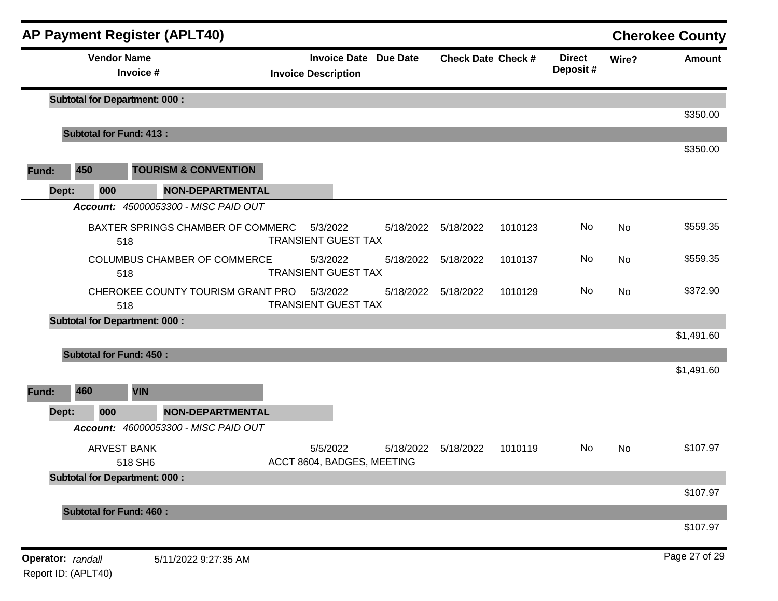|                   |     |                    | <b>AP Payment Register (APLT40)</b>                              |                            |                     |                 |                           |         |                           |       | <b>Cherokee County</b> |
|-------------------|-----|--------------------|------------------------------------------------------------------|----------------------------|---------------------|-----------------|---------------------------|---------|---------------------------|-------|------------------------|
|                   |     | <b>Vendor Name</b> | Invoice #                                                        | <b>Invoice Description</b> | <b>Invoice Date</b> | <b>Due Date</b> | <b>Check Date Check #</b> |         | <b>Direct</b><br>Deposit# | Wire? | <b>Amount</b>          |
|                   |     |                    | <b>Subtotal for Department: 000:</b>                             |                            |                     |                 |                           |         |                           |       | \$350.00               |
|                   |     |                    | <b>Subtotal for Fund: 413:</b>                                   |                            |                     |                 |                           |         |                           |       |                        |
| Fund:             | 450 |                    | <b>TOURISM &amp; CONVENTION</b>                                  |                            |                     |                 |                           |         |                           |       | \$350.00               |
| Dept:             |     | 000                | NON-DEPARTMENTAL                                                 |                            |                     |                 |                           |         |                           |       |                        |
|                   |     |                    | Account: 45000053300 - MISC PAID OUT                             |                            |                     |                 |                           |         |                           |       |                        |
|                   |     | 518                | BAXTER SPRINGS CHAMBER OF COMMERC                                | <b>TRANSIENT GUEST TAX</b> | 5/3/2022            |                 | 5/18/2022   5/18/2022     | 1010123 | No                        | No    | \$559.35               |
|                   |     | 518                | COLUMBUS CHAMBER OF COMMERCE                                     | <b>TRANSIENT GUEST TAX</b> | 5/3/2022            | 5/18/2022       | 5/18/2022                 | 1010137 | No                        | No    | \$559.35               |
|                   |     | 518                | CHEROKEE COUNTY TOURISM GRANT PRO                                | <b>TRANSIENT GUEST TAX</b> | 5/3/2022            | 5/18/2022       | 5/18/2022                 | 1010129 | No                        | No    | \$372.90               |
|                   |     |                    | <b>Subtotal for Department: 000:</b>                             |                            |                     |                 |                           |         |                           |       |                        |
|                   |     |                    |                                                                  |                            |                     |                 |                           |         |                           |       | \$1,491.60             |
| Fund:<br>Dept:    | 460 | 000                | <b>Subtotal for Fund: 450:</b><br><b>VIN</b><br>NON-DEPARTMENTAL |                            |                     |                 |                           |         |                           |       | \$1,491.60             |
|                   |     |                    | Account: 46000053300 - MISC PAID OUT                             |                            |                     |                 |                           |         |                           |       |                        |
|                   |     | <b>ARVEST BANK</b> | 518 SH6                                                          | ACCT 8604, BADGES, MEETING | 5/5/2022            | 5/18/2022       | 5/18/2022                 | 1010119 | No                        | No    | \$107.97               |
|                   |     |                    | <b>Subtotal for Department: 000:</b>                             |                            |                     |                 |                           |         |                           |       | \$107.97               |
|                   |     |                    | <b>Subtotal for Fund: 460:</b>                                   |                            |                     |                 |                           |         |                           |       |                        |
|                   |     |                    |                                                                  |                            |                     |                 |                           |         |                           |       | \$107.97               |
| Operator: randall |     |                    | 5/11/2022 9:27:35 AM                                             |                            |                     |                 |                           |         |                           |       | Page 27 of 29          |

Report ID: (APLT40)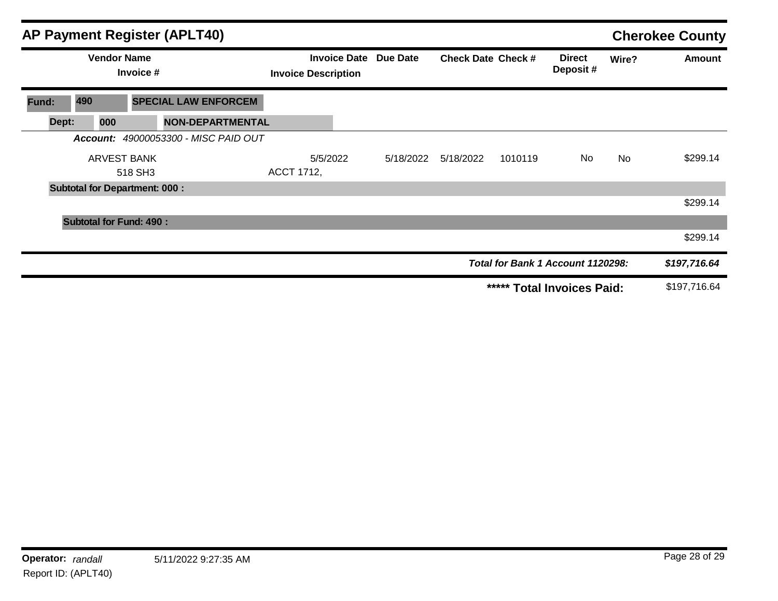|                                 |                                | AP Payment Register (APLT40)         |                            |                     |                 |                           |         |                                   |           | <b>Cherokee County</b> |
|---------------------------------|--------------------------------|--------------------------------------|----------------------------|---------------------|-----------------|---------------------------|---------|-----------------------------------|-----------|------------------------|
| <b>Vendor Name</b><br>Invoice # |                                |                                      | <b>Invoice Description</b> | <b>Invoice Date</b> | <b>Due Date</b> | <b>Check Date Check #</b> |         | <b>Direct</b><br>Deposit#         | Wire?     | <b>Amount</b>          |
| Fund:                           | 490                            | <b>SPECIAL LAW ENFORCEM</b>          |                            |                     |                 |                           |         |                                   |           |                        |
| Dept:                           | 000                            | <b>NON-DEPARTMENTAL</b>              |                            |                     |                 |                           |         |                                   |           |                        |
|                                 |                                | Account: 49000053300 - MISC PAID OUT |                            |                     |                 |                           |         |                                   |           |                        |
|                                 | <b>ARVEST BANK</b>             |                                      |                            | 5/5/2022            | 5/18/2022       | 5/18/2022                 | 1010119 | No                                | <b>No</b> | \$299.14               |
|                                 |                                | 518 SH3                              | ACCT 1712,                 |                     |                 |                           |         |                                   |           |                        |
|                                 |                                | <b>Subtotal for Department: 000:</b> |                            |                     |                 |                           |         |                                   |           |                        |
|                                 |                                |                                      |                            |                     |                 |                           |         |                                   |           | \$299.14               |
|                                 | <b>Subtotal for Fund: 490:</b> |                                      |                            |                     |                 |                           |         |                                   |           |                        |
|                                 |                                |                                      |                            |                     |                 |                           |         |                                   |           | \$299.14               |
|                                 |                                |                                      |                            |                     |                 |                           |         | Total for Bank 1 Account 1120298: |           | \$197,716.64           |
|                                 |                                |                                      |                            |                     |                 |                           |         | ***** Total Invoices Paid:        |           | \$197,716.64           |